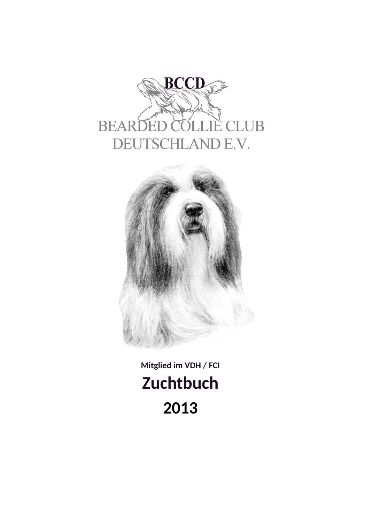



Mitglied im VDH / FCI **Zuchtbuch** 2013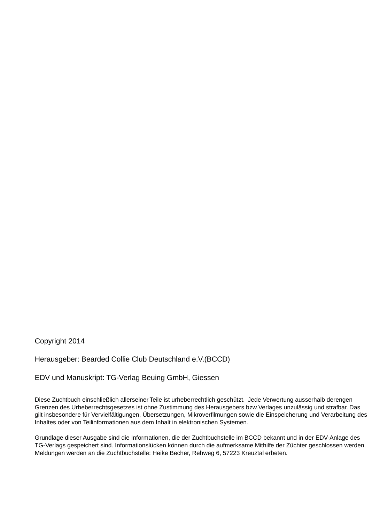Copyright 2014

Herausgeber: Bearded Collie Club Deutschland e.V.(BCCD)

EDV und Manuskript: TG-Verlag Beuing GmbH, Giessen

Diese Zuchtbuch einschließlich allerseiner Teile ist urheberrechtlich geschützt. Jede Verwertung ausserhalb derengen Grenzen des Urheberrechtsgesetzes ist ohne Zustimmung des Herausgebers bzw. Verlages unzulässig und strafbar. Das gilt insbesondere für Vervielfältigungen, Übersetzungen, Mikroverfilmungen sowie die Einspeicherung und Verarbeitung des Inhaltes oder von Teilinformationen aus dem Inhalt in elektronischen Systemen.

Grundlage dieser Ausgabe sind die Informationen, die der Zuchtbuchstelle im BCCD bekannt und in der EDV-Anlage des TG-Verlags gespeichert sind. Informationslücken können durch die aufmerksame Mithilfe der Züchter geschlossen werden. Meldungen werden an die Zuchtbuchstelle: Heike Becher, Rehweg 6, 57223 Kreuztal erbeten.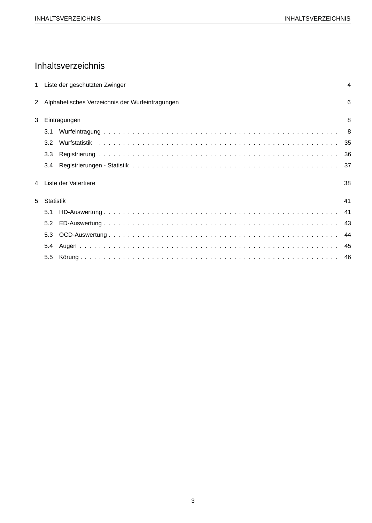# Inhaltsverzeichnis

|   |                  | 1 Liste der geschützten Zwinger                   | $\overline{4}$ |
|---|------------------|---------------------------------------------------|----------------|
|   |                  | 2 Alphabetisches Verzeichnis der Wurfeintragungen | 6              |
| 3 |                  | Eintragungen                                      | 8              |
|   | 3.1              |                                                   |                |
|   | 3.2 <sub>2</sub> |                                                   |                |
|   | 3.3              |                                                   |                |
|   | 3.4              |                                                   |                |
| 4 |                  | Liste der Vatertiere                              | 38             |
| 5 | Statistik        |                                                   | 41             |
|   | 5.1              |                                                   | 41             |
|   | 5.2              |                                                   | -43            |
|   | 5.3              |                                                   |                |
|   | 5.4              |                                                   |                |
|   | 5.5              |                                                   |                |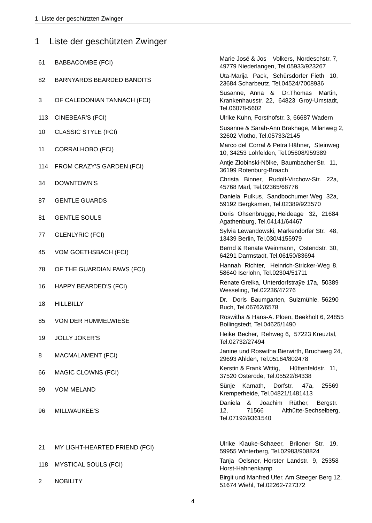|                | 1 Liste der geschützten Zwinger  |                                                                                                        |
|----------------|----------------------------------|--------------------------------------------------------------------------------------------------------|
| 61             | <b>BABBACOMBE (FCI)</b>          | Marie José & Jos Volkers, Nordeschstr. 7,<br>49779 Niederlangen, Tel.05933/923267                      |
| 82             | <b>BARNYARDS BEARDED BANDITS</b> | Uta-Marija Pack, Schürsdorfer Fieth 10,<br>23684 Scharbeutz, Tel.04524/7008936                         |
| 3              | OF CALEDONIAN TANNACH (FCI)      | Susanne, Anna & Dr. Thomas<br>Martin,<br>Krankenhausstr. 22, 64823 Groÿ-Umstadt,<br>Tel.06078-5602     |
| 113            | CINEBEAR'S (FCI)                 | Ulrike Kuhn, Forsthofstr. 3, 66687 Wadern                                                              |
| 10             | <b>CLASSIC STYLE (FCI)</b>       | Susanne & Sarah-Ann Brakhage, Milanweg 2,<br>32602 Vlotho, Tel.05733/2145                              |
| 11             | <b>CORRALHOBO (FCI)</b>          | Marco del Corral & Petra Hähner, Steinweg<br>10, 34253 Lohfelden, Tel.05608/959389                     |
| 114            | FROM CRAZY'S GARDEN (FCI)        | Antje Zlobinski-Nölke, Baumbacher Str. 11,<br>36199 Rotenburg-Braach                                   |
| 34             | DOWNTOWN'S                       | Christa Binner, Rudolf-Virchow-Str. 22a,<br>45768 Marl, Tel.02365/68776                                |
| 87             | <b>GENTLE GUARDS</b>             | Daniela Pulkus, Sandbochumer Weg 32a,<br>59192 Bergkamen, Tel.02389/923570                             |
| 81             | <b>GENTLE SOULS</b>              | Doris Ohsenbrügge, Heideage 32, 21684<br>Agathenburg, Tel.04141/64467                                  |
| 77             | <b>GLENLYRIC (FCI)</b>           | Sylvia Lewandowski, Markendorfer Str. 48,<br>13439 Berlin, Tel.030/4155979                             |
| 45             | VOM GOETHSBACH (FCI)             | Bernd & Renate Weinmann, Ostendstr. 30,<br>64291 Darmstadt, Tel.06150/83694                            |
| 78             | OF THE GUARDIAN PAWS (FCI)       | Hannah Richter, Heinrich-Stricker-Weg 8,<br>58640 Iserlohn, Tel.02304/51711                            |
| 16             | HAPPY BEARDED'S (FCI)            | Renate Grelka, Unterdorfstraÿe 17a, 50389<br>Wesseling, Tel.02236/47276                                |
| 18             | <b>HILLBILLY</b>                 | Dr. Doris Baumgarten, Sulzmühle, 56290<br>Buch, Tel.06762/6578                                         |
| 85             | VON DER HUMMELWIESE              | Roswitha & Hans-A. Ploen, Beekholt 6, 24855<br>Bollingstedt, Tel.04625/1490                            |
| 19             | <b>JOLLY JOKER'S</b>             | Heike Becher, Rehweg 6, 57223 Kreuztal,<br>Tel.02732/27494                                             |
| 8              | MACMALAMENT (FCI)                | Janine und Roswitha Bierwirth, Bruchweg 24,<br>29693 Ahlden, Tel.05164/802478                          |
| 66             | MAGIC CLOWNS (FCI)               | Kerstin & Frank Wittig,<br>Hüttenfeldstr. 11,<br>37520 Osterode, Tel.05522/84338                       |
| 99             | <b>VOM MELAND</b>                | Karnath, Dorfstr. 47a,<br>Sünje<br>25569<br>Kremperheide, Tel.04821/1481413                            |
| 96             | MILLWAUKEE'S                     | Daniela &<br>Joachim Rüther,<br>Bergstr.<br>12,<br>71566<br>Althütte-Sechselberg,<br>Tel.07192/9361540 |
|                |                                  | Ulrike Klauke-Schaeer, Briloner Str. 19,                                                               |
| 21             | MY LIGHT-HEARTED FRIEND (FCI)    | 59955 Winterberg, Tel.02983/908824                                                                     |
| 118            | <b>MYSTICAL SOULS (FCI)</b>      | Tanja Oelsner, Horster Landstr. 9, 25358<br>Horst-Hahnenkamp                                           |
| $\overline{2}$ | <b>NOBILITY</b>                  | Birgit und Manfred Ufer, Am Steeger Berg 12,<br>51674 Wiehl, Tel.02262-727372                          |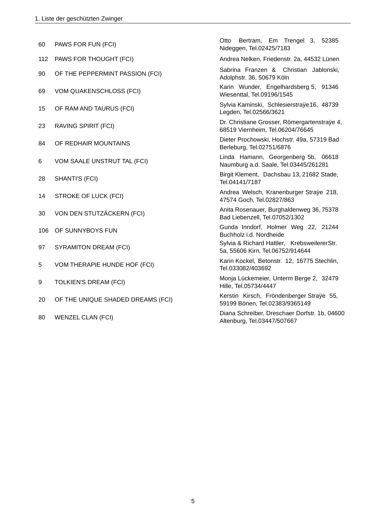| 60  | PAWS FOR FUN (FCI)                | Bertram, Em Trengel 3, 52385<br>Otto<br>Nideggen, Tel.02425/7183                 |  |  |
|-----|-----------------------------------|----------------------------------------------------------------------------------|--|--|
| 112 | PAWS FOR THOUGHT (FCI)            | Andrea Nelken, Friedenstr. 2a, 44532 Lünen                                       |  |  |
| 90  | OF THE PEPPERMINT PASSION (FCI)   | Sabrina Franzen & Christian Jablonski,<br>Adolphstr. 36, 50679 Köln              |  |  |
| 69  | <b>VOM QUAKENSCHLOSS (FCI)</b>    | Karin Wunder, Engelhardsberg 5, 91346<br>Wiesenttal, Tel.09196/1545              |  |  |
| 15  | OF RAM AND TAURUS (FCI)           | Sylvia Kaminski, Schlesierstraÿe16, 48739<br>Legden, Tel.02566/3621              |  |  |
| 23  | RAVING SPIRIT (FCI)               | Dr. Christiane Grosser, Römergartenstraÿe 4,<br>68519 Viernheim, Tel.06204/76645 |  |  |
| 84  | OF REDHAIR MOUNTAINS              | Dieter Prochowski, Hochstr. 49a, 57319 Bad<br>Berleburg, Tel.02751/6876          |  |  |
| 6   | VOM SAALE UNSTRUT TAL (FCI)       | Linda Hamann, Georgenberg 5b, 06618<br>Naumburg a.d. Saale, Tel.03445/261281     |  |  |
| 28  | SHANTI'S (FCI)                    | Birgit Klement, Dachsbau 13, 21682 Stade,<br>Tel.04141/7187                      |  |  |
| 14  | <b>STROKE OF LUCK (FCI)</b>       | Andrea Welsch, Kranenburger Straÿe 218,<br>47574 Goch, Tel.02827/863             |  |  |
| 30  | VON DEN STUTZÄCKERN (FCI)         | Anita Rosenauer, Burghaldenweg 36, 75378<br>Bad Liebenzell, Tel.07052/1302       |  |  |
| 106 | OF SUNNYBOYS FUN                  | Gunda Inndorf, Holmer Weg 22, 21244<br>Buchholz i.d. Nordheide                   |  |  |
| 97  | <b>SYRAMITON DREAM (FCI)</b>      | Sylvia & Richard Hattler, KrebsweilererStr.<br>5a, 55606 Kirn, Tel.06752/914644  |  |  |
| 5   | VOM THERAPIE HUNDE HOF (FCI)      | Karin Kockel, Betonstr. 12, 16775 Stechlin,<br>Tel.033082/403692                 |  |  |
| 9   | <b>TOLKIEN'S DREAM (FCI)</b>      | Monja Lückemeier, Unterm Berge 2, 32479<br>Hille, Tel.05734/4447                 |  |  |
| 20  | OF THE UNIQUE SHADED DREAMS (FCI) | Kerstin Kirsch, Fröndenberger Straÿe 55,<br>59199 Bönen, Tel.02383/9365149       |  |  |
| 80  | <b>WENZEL CLAN (FCI)</b>          | Diana Schreiber, Dreschaer Dorfstr. 1b, 04600<br>Altenburg, Tel.03447/507667     |  |  |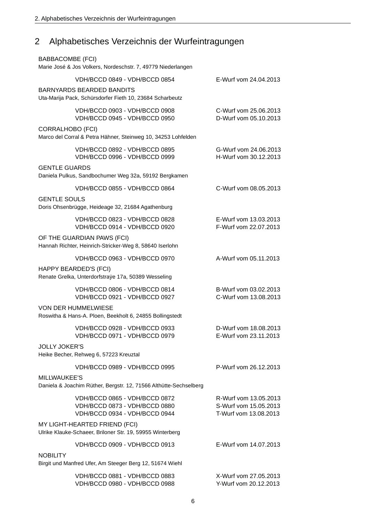### Alphabetisches Verzeichnis der Wurfeintragungen  $\overline{2}$

| <b>BABBACOMBE (FCI)</b>                                                           | Marie José & Jos Volkers, Nordeschstr. 7, 49779 Niederlangen                                    |                                                                         |
|-----------------------------------------------------------------------------------|-------------------------------------------------------------------------------------------------|-------------------------------------------------------------------------|
|                                                                                   | VDH/BCCD 0849 - VDH/BCCD 0854                                                                   | E-Wurf vom 24.04.2013                                                   |
|                                                                                   | <b>BARNYARDS BEARDED BANDITS</b><br>Uta-Marija Pack, Schürsdorfer Fieth 10, 23684 Scharbeutz    |                                                                         |
|                                                                                   | VDH/BCCD 0903 - VDH/BCCD 0908<br>VDH/BCCD 0945 - VDH/BCCD 0950                                  | C-Wurf vom 25.06.2013<br>D-Wurf vom 05.10.2013                          |
| <b>CORRALHOBO (FCI)</b>                                                           | Marco del Corral & Petra Hähner, Steinweg 10, 34253 Lohfelden                                   |                                                                         |
|                                                                                   | VDH/BCCD 0892 - VDH/BCCD 0895<br>VDH/BCCD 0996 - VDH/BCCD 0999                                  | G-Wurf vom 24.06.2013<br>H-Wurf vom 30.12.2013                          |
| <b>GENTLE GUARDS</b>                                                              | Daniela Pulkus, Sandbochumer Weg 32a, 59192 Bergkamen                                           |                                                                         |
|                                                                                   | VDH/BCCD 0855 - VDH/BCCD 0864                                                                   | C-Wurf vom 08.05.2013                                                   |
| <b>GENTLE SOULS</b>                                                               | Doris Ohsenbrügge, Heideage 32, 21684 Agathenburg                                               |                                                                         |
|                                                                                   | VDH/BCCD 0823 - VDH/BCCD 0828<br>VDH/BCCD 0914 - VDH/BCCD 0920                                  | E-Wurf vom 13.03.2013<br>F-Wurf vom 22.07.2013                          |
|                                                                                   | OF THE GUARDIAN PAWS (FCI)<br>Hannah Richter, Heinrich-Stricker-Weg 8, 58640 Iserlohn           |                                                                         |
|                                                                                   | VDH/BCCD 0963 - VDH/BCCD 0970                                                                   | A-Wurf vom 05.11.2013                                                   |
|                                                                                   | HAPPY BEARDED'S (FCI)<br>Renate Grelka, Unterdorfstraÿe 17a, 50389 Wesseling                    |                                                                         |
|                                                                                   | VDH/BCCD 0806 - VDH/BCCD 0814<br>VDH/BCCD 0921 - VDH/BCCD 0927                                  | B-Wurf vom 03.02.2013<br>C-Wurf vom 13.08.2013                          |
|                                                                                   | VON DER HUMMELWIESE<br>Roswitha & Hans-A. Ploen, Beekholt 6, 24855 Bollingstedt                 |                                                                         |
|                                                                                   | VDH/BCCD 0928 - VDH/BCCD 0933<br>VDH/BCCD 0971 - VDH/BCCD 0979                                  | D-Wurf vom 18.08.2013<br>E-Wurf vom 23.11.2013                          |
| <b>JOLLY JOKER'S</b>                                                              | Heike Becher, Rehweg 6, 57223 Kreuztal                                                          |                                                                         |
|                                                                                   | VDH/BCCD 0989 - VDH/BCCD 0995                                                                   | P-Wurf vom 26.12.2013                                                   |
| MILLWAUKEE'S<br>Daniela & Joachim Rüther, Bergstr. 12, 71566 Althütte-Sechselberg |                                                                                                 |                                                                         |
|                                                                                   | VDH/BCCD 0865 - VDH/BCCD 0872<br>VDH/BCCD 0873 - VDH/BCCD 0880<br>VDH/BCCD 0934 - VDH/BCCD 0944 | R-Wurf vom 13.05.2013<br>S-Wurf vom 15.05.2013<br>T-Wurf vom 13.08.2013 |
|                                                                                   | MY LIGHT-HEARTED FRIEND (FCI)<br>Ulrike Klauke-Schaeer, Briloner Str. 19, 59955 Winterberg      |                                                                         |
|                                                                                   | VDH/BCCD 0909 - VDH/BCCD 0913                                                                   | E-Wurf vom 14.07.2013                                                   |
| <b>NOBILITY</b>                                                                   | Birgit und Manfred Ufer, Am Steeger Berg 12, 51674 Wiehl                                        |                                                                         |
|                                                                                   | VDH/BCCD 0881 - VDH/BCCD 0883<br>VDH/BCCD 0980 - VDH/BCCD 0988                                  | X-Wurf vom 27.05.2013<br>Y-Wurf vom 20.12.2013                          |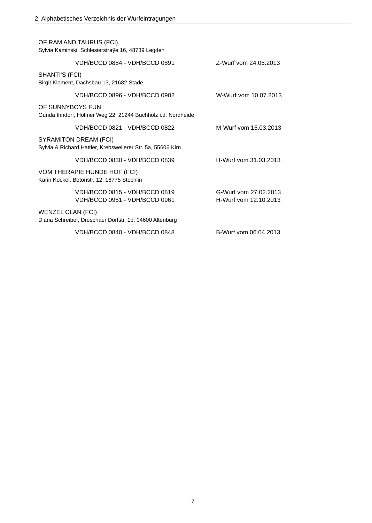| OF RAM AND TAURUS (FCI)<br>Sylvia Kaminski, Schlesierstraÿe 16, 48739 Legden                |                                                |  |
|---------------------------------------------------------------------------------------------|------------------------------------------------|--|
| VDH/BCCD 0884 - VDH/BCCD 0891                                                               | Z-Wurf vom 24.05.2013                          |  |
| SHANTI'S (FCI)<br>Birgit Klement, Dachsbau 13, 21682 Stade                                  |                                                |  |
| VDH/BCCD 0896 - VDH/BCCD 0902                                                               | W-Wurf vom 10.07.2013                          |  |
| OF SUNNYBOYS FUN<br>Gunda Inndorf, Holmer Weg 22, 21244 Buchholz i.d. Nordheide             |                                                |  |
| VDH/BCCD 0821 - VDH/BCCD 0822                                                               | M-Wurf vom 15.03.2013                          |  |
| <b>SYRAMITON DREAM (FCI)</b><br>Sylvia & Richard Hattler, Krebsweilerer Str. 5a, 55606 Kirn |                                                |  |
| VDH/BCCD 0830 - VDH/BCCD 0839                                                               | H-Wurf vom 31.03.2013                          |  |
| VOM THERAPIE HUNDE HOF (FCI)<br>Karin Kockel, Betonstr. 12, 16775 Stechlin                  |                                                |  |
| VDH/BCCD 0815 - VDH/BCCD 0819<br>VDH/BCCD 0951 - VDH/BCCD 0961                              | G-Wurf vom 27.02.2013<br>H-Wurf vom 12.10.2013 |  |
| <b>WENZEL CLAN (FCI)</b><br>Diana Schreiber, Dreschaer Dorfstr. 1b, 04600 Altenburg         |                                                |  |
| VDH/BCCD 0840 - VDH/BCCD 0848                                                               | B-Wurf vom 06.04.2013                          |  |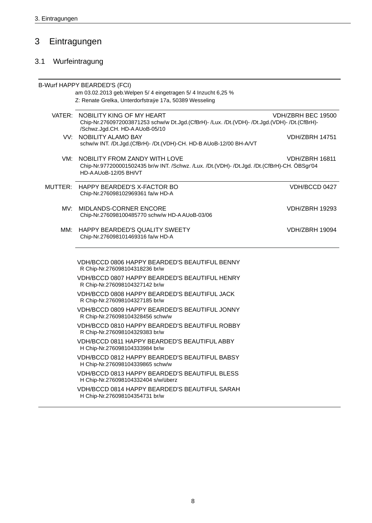### $\overline{3}$ Eintragungen

# 3.1 Wurfeintragung

|         | <b>B-Wurf HAPPY BEARDED'S (FCI)</b>                                                                                                                                                      |                       |  |
|---------|------------------------------------------------------------------------------------------------------------------------------------------------------------------------------------------|-----------------------|--|
|         | am 03.02.2013 geb. Welpen 5/4 eingetragen 5/4 Inzucht 6,25 %                                                                                                                             |                       |  |
|         | Z: Renate Grelka, Unterdorfstraÿe 17a, 50389 Wesseling                                                                                                                                   |                       |  |
|         | VATER: NOBILITY KING OF MY HEART<br>VDH/ZBRH BEC 19500<br>Chip-Nr.2760972003871253 schw/w Dt.Jgd.(CfBrH)- /Lux. /Dt.(VDH)- /Dt.Jgd.(VDH)- /Dt.(CfBrH)-<br>/Schwz.Jgd.CH. HD-A AUoB-05/10 |                       |  |
|         | VV: NOBILITY ALAMO BAY<br>schw/w INT. /Dt.Jgd.(CfBrH)- /Dt.(VDH)-CH. HD-B AUoB-12/00 BH-A/VT                                                                                             | <b>VDH/ZBRH 14751</b> |  |
| VM:     | NOBILITY FROM ZANDY WITH LOVE<br>Chip-Nr.977200001502435 br/w INT. /Schwz. /Lux. /Dt.(VDH)- /Dt.Jgd. /Dt.(CfBrH)-CH. ÖBSgr'04<br>HD-AAU0B-12/05 BH/VT                                    | <b>VDH/ZBRH 16811</b> |  |
| MUTTER: | HAPPY BEARDED'S X-FACTOR BO<br>Chip-Nr.276098102969361 fa/w HD-A                                                                                                                         | VDH/BCCD 0427         |  |
| MV:     | MIDLANDS-CORNER ENCORE<br>Chip-Nr.276098100485770 schw/w HD-AAUoB-03/06                                                                                                                  | <b>VDH/ZBRH 19293</b> |  |
| MM:     | HAPPY BEARDED'S QUALITY SWEETY<br>Chip-Nr.276098101469316 fa/w HD-A                                                                                                                      | VDH/ZBRH 19094        |  |
|         | VDH/BCCD 0806 HAPPY BEARDED'S BEAUTIFUL BENNY<br>R Chip-Nr.276098104318236 br/w                                                                                                          |                       |  |
|         | VDH/BCCD 0807 HAPPY BEARDED'S BEAUTIFUL HENRY<br>R Chip-Nr.276098104327142 br/w                                                                                                          |                       |  |
|         | VDH/BCCD 0808 HAPPY BEARDED'S BEAUTIFUL JACK<br>R Chip-Nr.276098104327185 br/w                                                                                                           |                       |  |
|         | VDH/BCCD 0809 HAPPY BEARDED'S BEAUTIFUL JONNY<br>R Chip-Nr.276098104328456 schw/w                                                                                                        |                       |  |
|         | VDH/BCCD 0810 HAPPY BEARDED'S BEAUTIFUL ROBBY<br>R Chip-Nr.276098104329383 br/w                                                                                                          |                       |  |
|         | <b>VDH/BCCD 0811 HAPPY BEARDED'S BEAUTIFUL ABBY</b><br>H Chip-Nr.276098104333984 br/w                                                                                                    |                       |  |
|         | VDH/BCCD 0812 HAPPY BEARDED'S BEAUTIFUL BABSY<br>H Chip-Nr.276098104339865 schw/w                                                                                                        |                       |  |
|         | VDH/BCCD 0813 HAPPY BEARDED'S BEAUTIFUL BLESS<br>H Chip-Nr.276098104332404 s/w/überz                                                                                                     |                       |  |
|         | VDH/BCCD 0814 HAPPY BEARDED'S BEAUTIFUL SARAH<br>H Chip-Nr.276098104354731 br/w                                                                                                          |                       |  |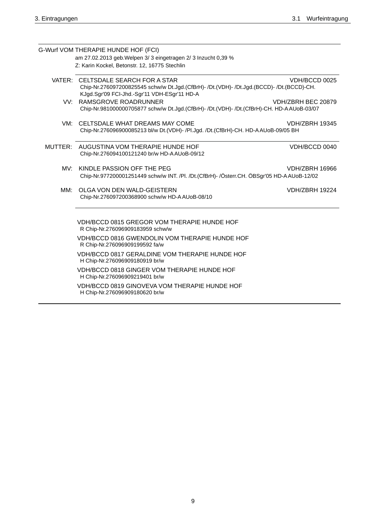|                                                                                                                         | G-Wurf VOM THERAPIE HUNDE HOF (FCI)<br>am 27.02.2013 geb. Welpen 3/3 eingetragen 2/3 Inzucht 0,39 %<br>Z: Karin Kockel, Betonstr. 12, 16775 Stechlin                           |                       |
|-------------------------------------------------------------------------------------------------------------------------|--------------------------------------------------------------------------------------------------------------------------------------------------------------------------------|-----------------------|
|                                                                                                                         |                                                                                                                                                                                |                       |
|                                                                                                                         | VATER: CELTSDALE SEARCH FOR A STAR<br>Chip-Nr.276097200825545 schw/w Dt.Jgd.(CfBrH)- /Dt.(VDH)- /Dt.Jgd.(BCCD)- /Dt.(BCCD)-CH.<br>KJgd.Sgr'09 FCI-Jhd.-Sgr'11 VDH-ESgr'11 HD-A | VDH/BCCD 0025         |
| VV:                                                                                                                     | RAMSGROVE ROADRUNNER<br>Chip-Nr.981000000705877 schw/w Dt.Jgd.(CfBrH)- /Dt.(VDH)- /Dt.(CfBrH)-CH. HD-A AUoB-03/07                                                              | VDH/ZBRH BEC 20879    |
| VM: CELTSDALE WHAT DREAMS MAY COME<br>Chip-Nr.276096900085213 bl/w Dt.(VDH)- /Pl.Jgd. /Dt.(CfBrH)-CH. HD-AAUoB-09/05 BH |                                                                                                                                                                                | <b>VDH/ZBRH 19345</b> |
|                                                                                                                         | MUTTER: AUGUSTINA VOM THERAPIE HUNDE HOF<br>Chip-Nr.276094100121240 br/w HD-A AUoB-09/12                                                                                       | VDH/BCCD 0040         |
| MV:                                                                                                                     | KINDLE PASSION OFF THE PEG<br>Chip-Nr.977200001251449 schw/w INT. /Pl. /Dt.(CfBrH)- /Österr.CH. ÖBSgr'05 HD-A AUoB-12/02                                                       | VDH/ZBRH 16966        |
| MM:                                                                                                                     | OLGA VON DEN WALD-GEISTERN<br>Chip-Nr.276097200368900 schw/w HD-A AUoB-08/10                                                                                                   | <b>VDH/ZBRH 19224</b> |
|                                                                                                                         | VDH/BCCD 0815 GREGOR VOM THERAPIE HUNDE HOF<br>R Chip-Nr.276096909183959 schw/w                                                                                                |                       |
|                                                                                                                         | VDH/BCCD 0816 GWENDOLIN VOM THERAPIE HUNDE HOF<br>R Chip-Nr.276096909199592 fa/w                                                                                               |                       |
|                                                                                                                         | VDH/BCCD 0817 GERALDINE VOM THERAPIE HUNDE HOF<br>H Chip-Nr.276096909180919 br/w                                                                                               |                       |
|                                                                                                                         | VDH/BCCD 0818 GINGER VOM THERAPIE HUNDE HOF<br>H Chip-Nr.276096909219401 br/w                                                                                                  |                       |
|                                                                                                                         | VDH/BCCD 0819 GINOVEVA VOM THERAPIE HUNDE HOF<br>H Chip-Nr.276096909180620 br/w                                                                                                |                       |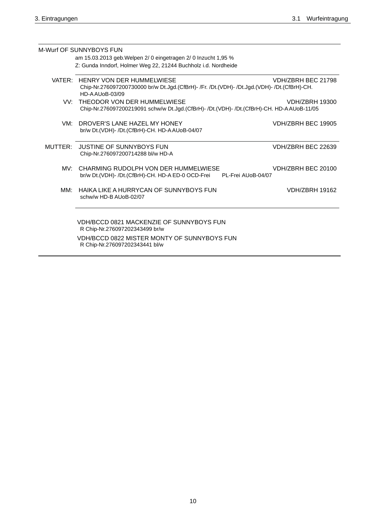|                                                                                                                                                       | M-Wurf OF SUNNYBOYS FUN                                                                                           |                       |  |  |  |  |
|-------------------------------------------------------------------------------------------------------------------------------------------------------|-------------------------------------------------------------------------------------------------------------------|-----------------------|--|--|--|--|
| am 15.03.2013 geb. Welpen 2/ 0 eingetragen 2/ 0 Inzucht 1,95 %                                                                                        |                                                                                                                   |                       |  |  |  |  |
|                                                                                                                                                       | Z: Gunda Inndorf, Holmer Weg 22, 21244 Buchholz i.d. Nordheide                                                    |                       |  |  |  |  |
| VATER: HENRY VON DER HUMMELWIESE                                                                                                                      | VDH/ZBRH BEC 21798<br>Chip-Nr.276097200730000 br/w Dt.Jgd.(CfBrH)- /Fr. /Dt.(VDH)- /Dt.Jgd.(VDH)- /Dt.(CfBrH)-CH. |                       |  |  |  |  |
| VV: THEODOR VON DER HUMMELWIESE<br><b>VDH/ZBRH 19300</b><br>Chip-Nr.276097200219091 schw/w Dt.Jgd.(CfBrH)- /Dt.(VDH)- /Dt.(CfBrH)-CH. HD-A AUoB-11/05 |                                                                                                                   |                       |  |  |  |  |
| VM:                                                                                                                                                   | DROVER'S LANE HAZEL MY HONEY<br>br/w Dt.(VDH)- /Dt.(CfBrH)-CH. HD-AAUoB-04/07                                     | VDH/ZBRH BEC 19905    |  |  |  |  |
| MUTTER:                                                                                                                                               | JUSTINE OF SUNNYBOYS FUN<br>Chip-Nr.276097200714288 bl/w HD-A                                                     | VDH/ZBRH BEC 22639    |  |  |  |  |
| MV <sup>.</sup>                                                                                                                                       | CHARMING RUDOLPH VON DER HUMMELWIESE<br>br/w Dt.(VDH)- /Dt.(CfBrH)-CH. HD-A ED-0 OCD-Frei<br>PL-Frei AUoB-04/07   | VDH/ZBRH BEC 20100    |  |  |  |  |
| MM:                                                                                                                                                   | HAIKA LIKE A HURRYCAN OF SUNNYBOYS FUN<br>schw/w HD-B AUoB-02/07                                                  | <b>VDH/ZBRH 19162</b> |  |  |  |  |
|                                                                                                                                                       | VDH/BCCD 0821 MACKENZIE OF SUNNYBOYS FUN<br>R Chip-Nr.276097202343499 br/w                                        |                       |  |  |  |  |
|                                                                                                                                                       | VDH/BCCD 0822 MISTER MONTY OF SUNNYBOYS FUN<br>R Chip-Nr.276097202343441 bl/w                                     |                       |  |  |  |  |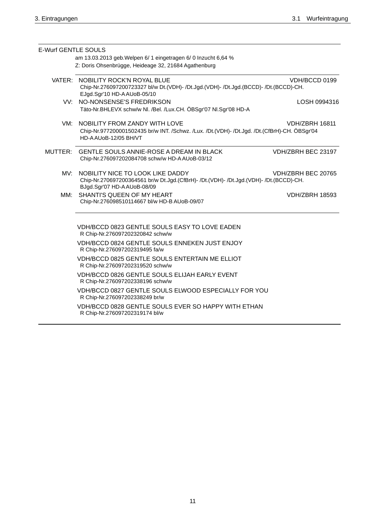| <b>E-Wurf GENTLE SOULS</b> | am 13.03.2013 geb. Welpen 6/ 1 eingetragen 6/ 0 Inzucht 6,64 %                                                                                          |                       |
|----------------------------|---------------------------------------------------------------------------------------------------------------------------------------------------------|-----------------------|
|                            | Z: Doris Ohsenbrügge, Heideage 32, 21684 Agathenburg                                                                                                    |                       |
|                            | VATER: NOBILITY ROCK'N ROYAL BLUE<br>Chip-Nr.276097200723327 bl/w Dt.(VDH)- /Dt.Jgd.(VDH)- /Dt.Jgd.(BCCD)- /Dt.(BCCD)-CH.<br>EJgd.Sgr'10 HD-AAUoB-05/10 | VDH/BCCD 0199         |
|                            | VV: NO-NONSENSE'S FREDRIKSON<br>Täto-Nr.BHLEVX schw/w Nl. /Bel. /Lux.CH. ÖBSgr'07 Nl.Sgr'08 HD-A                                                        | LOSH 0994316          |
| VM:                        | NOBILITY FROM ZANDY WITH LOVE<br>Chip-Nr.977200001502435 br/w INT. /Schwz. /Lux. /Dt.(VDH)- /Dt.Jgd. /Dt.(CfBrH)-CH. ÖBSgr'04<br>HD-AAU0B-12/05 BH/VT   | <b>VDH/ZBRH 16811</b> |
|                            | MUTTER: GENTLE SOULS ANNIE-ROSE A DREAM IN BLACK<br>Chip-Nr.276097202084708 schw/w HD-A AUoB-03/12                                                      | VDH/ZBRH BEC 23197    |
| MV:                        | NOBILITY NICE TO LOOK LIKE DADDY<br>Chip-Nr.270697200364561 br/w Dt.Jgd.(CfBrH)- /Dt.(VDH)- /Dt.Jgd.(VDH)- /Dt.(BCCD)-CH.<br>BJgd.Sgr'07 HD-AAUoB-08/09 | VDH/ZBRH BEC 20765    |
| MM:                        | SHANTI'S QUEEN OF MY HEART<br>Chip-Nr.276098510114667 bl/w HD-B AUoB-09/07                                                                              | <b>VDH/ZBRH 18593</b> |
|                            | VDH/BCCD 0823 GENTLE SOULS EASY TO LOVE EADEN<br>R Chip-Nr.276097202320842 schw/w                                                                       |                       |
|                            | VDH/BCCD 0824 GENTLE SOULS ENNEKEN JUST ENJOY<br>R Chip-Nr.276097202319495 fa/w                                                                         |                       |
|                            | VDH/BCCD 0825 GENTLE SOULS ENTERTAIN ME ELLIOT<br>R Chip-Nr.276097202319520 schw/w                                                                      |                       |
|                            | VDH/BCCD 0826 GENTLE SOULS ELIJAH EARLY EVENT<br>R Chip-Nr.276097202338196 schw/w                                                                       |                       |
|                            | VDH/BCCD 0827 GENTLE SOULS ELWOOD ESPECIALLY FOR YOU<br>R Chip-Nr.276097202338249 br/w                                                                  |                       |
|                            | VDH/BCCD 0828 GENTLE SOULS EVER SO HAPPY WITH ETHAN<br>R Chip-Nr.276097202319174 bl/w                                                                   |                       |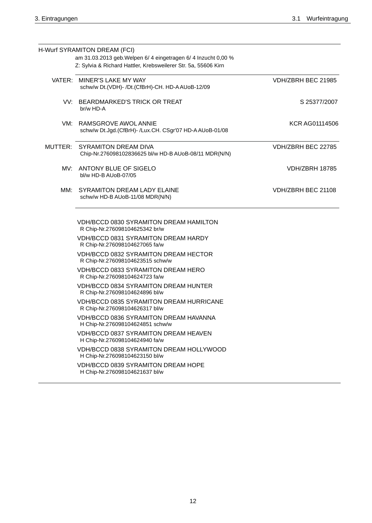|     | H-Wurf SYRAMITON DREAM (FCI)                                                                                                     |                       |
|-----|----------------------------------------------------------------------------------------------------------------------------------|-----------------------|
|     | am 31.03.2013 geb. Welpen 6/ 4 eingetragen 6/ 4 Inzucht 0,00 %<br>Z: Sylvia & Richard Hattler, Krebsweilerer Str. 5a, 55606 Kirn |                       |
|     | VATER: MINER'S LAKE MY WAY<br>schw/w Dt.(VDH)- /Dt.(CfBrH)-CH. HD-AAUoB-12/09                                                    | VDH/ZBRH BEC 21985    |
|     | VV: BEARDMARKED'S TRICK OR TREAT<br>br/w HD-A                                                                                    | S 25377/2007          |
|     | VM: RAMSGROVE AWOL ANNIE<br>schw/w Dt.Jgd.(CfBrH)- /Lux.CH. CSgr'07 HD-A AUoB-01/08                                              | KCR AG01114506        |
|     | MUTTER: SYRAMITON DREAM DIVA<br>Chip-Nr.276098102836625 bl/w HD-B AUoB-08/11 MDR(N/N)                                            | VDH/ZBRH BEC 22785    |
|     | MV: ANTONY BLUE OF SIGELO<br>bl/w HD-B AUoB-07/05                                                                                | <b>VDH/ZBRH 18785</b> |
| MM: | SYRAMITON DREAM LADY ELAINE<br>schw/w HD-B AUoB-11/08 MDR(N/N)                                                                   | VDH/ZBRH BEC 21108    |
|     | <b>VDH/BCCD 0830 SYRAMITON DREAM HAMILTON</b><br>R Chip-Nr.276098104625342 br/w                                                  |                       |
|     | <b>VDH/BCCD 0831 SYRAMITON DREAM HARDY</b><br>R Chip-Nr.276098104627065 fa/w                                                     |                       |
|     | <b>VDH/BCCD 0832 SYRAMITON DREAM HECTOR</b><br>R Chip-Nr.276098104623515 schw/w                                                  |                       |
|     | VDH/BCCD 0833 SYRAMITON DREAM HERO<br>R Chip-Nr.276098104624723 fa/w                                                             |                       |
|     | VDH/BCCD 0834 SYRAMITON DREAM HUNTER<br>R Chip-Nr.276098104624896 bl/w                                                           |                       |
|     | <b>VDH/BCCD 0835 SYRAMITON DREAM HURRICANE</b><br>R Chip-Nr.276098104626317 bl/w                                                 |                       |
|     | VDH/BCCD 0836 SYRAMITON DREAM HAVANNA<br>H Chip-Nr.276098104624851 schw/w                                                        |                       |
|     | VDH/BCCD 0837 SYRAMITON DREAM HEAVEN<br>H Chip-Nr.276098104624940 fa/w                                                           |                       |
|     | VDH/BCCD 0838 SYRAMITON DREAM HOLLYWOOD<br>H Chip-Nr.276098104623150 bl/w                                                        |                       |
|     | <b>VDH/BCCD 0839 SYRAMITON DREAM HOPE</b><br>H Chip-Nr.276098104621637 bl/w                                                      |                       |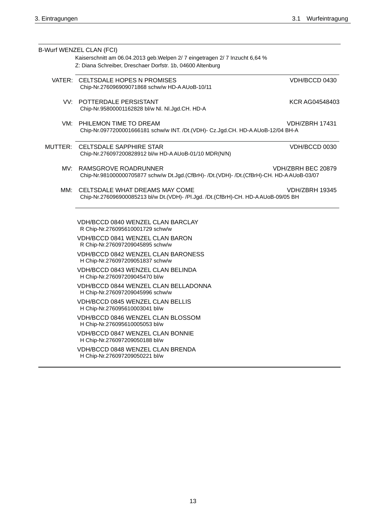|     | B-Wurf WENZEL CLAN (FCI)                                                                                              |                       |
|-----|-----------------------------------------------------------------------------------------------------------------------|-----------------------|
|     | Kaiserschnitt am 06.04.2013 geb. Welpen 2/ 7 eingetragen 2/ 7 Inzucht 6,64 %                                          |                       |
|     | Z: Diana Schreiber, Dreschaer Dorfstr. 1b, 04600 Altenburg                                                            |                       |
|     |                                                                                                                       |                       |
|     | VATER: CELTSDALE HOPES N PROMISES                                                                                     | VDH/BCCD 0430         |
|     | Chip-Nr.276096909071868 schw/w HD-AAUoB-10/11                                                                         |                       |
|     | VV: POTTERDALE PERSISTANT                                                                                             | KCR AG04548403        |
|     | Chip-Nr.95800001162828 bl/w Nl. Nl.Jgd.CH. HD-A                                                                       |                       |
|     |                                                                                                                       |                       |
|     | VM: PHILEMON TIME TO DREAM                                                                                            | VDH/ZBRH 17431        |
|     | Chip-Nr.0977200001666181 schw/w INT. /Dt.(VDH)- Cz.Jgd.CH. HD-AAUoB-12/04 BH-A                                        |                       |
|     |                                                                                                                       |                       |
|     | MUTTER: CELTSDALE SAPPHIRE STAR                                                                                       | VDH/BCCD 0030         |
|     | Chip-Nr.276097200828912 bl/w HD-A AUoB-01/10 MDR(N/N)                                                                 |                       |
|     |                                                                                                                       |                       |
|     | MV: RAMSGROVE ROADRUNNER<br>Chip-Nr.981000000705877 schw/w Dt.Jgd.(CfBrH)- /Dt.(VDH)- /Dt.(CfBrH)-CH. HD-A AUoB-03/07 | VDH/ZBRH BEC 20879    |
|     |                                                                                                                       |                       |
| MM: | CELTSDALE WHAT DREAMS MAY COME                                                                                        | <b>VDH/ZBRH 19345</b> |
|     | Chip-Nr.276096900085213 bl/w Dt.(VDH)- /Pl.Jgd. /Dt.(CfBrH)-CH. HD-AAUoB-09/05 BH                                     |                       |
|     |                                                                                                                       |                       |
|     |                                                                                                                       |                       |
|     | VDH/BCCD 0840 WENZEL CLAN BARCLAY                                                                                     |                       |
|     | R Chip-Nr.276095610001729 schw/w                                                                                      |                       |
|     | VDH/BCCD 0841 WENZEL CLAN BARON                                                                                       |                       |
|     | R Chip-Nr.276097209045895 schw/w                                                                                      |                       |
|     | <b>VDH/BCCD 0842 WENZEL CLAN BARONESS</b>                                                                             |                       |
|     | H Chip-Nr.276097209051837 schw/w                                                                                      |                       |
|     | VDH/BCCD 0843 WENZEL CLAN BELINDA                                                                                     |                       |
|     | H Chip-Nr.276097209045470 bl/w                                                                                        |                       |
|     | VDH/BCCD 0844 WENZEL CLAN BELLADONNA                                                                                  |                       |
|     | H Chip-Nr.276097209045996 schw/w                                                                                      |                       |
|     | <b>VDH/BCCD 0845 WENZEL CLAN BELLIS</b>                                                                               |                       |
|     | H Chip-Nr.276095610003041 bl/w                                                                                        |                       |
|     | VDH/BCCD 0846 WENZEL CLAN BLOSSOM                                                                                     |                       |
|     | H Chip-Nr.276095610005053 bl/w                                                                                        |                       |
|     | VDH/BCCD 0847 WENZEL CLAN BONNIE                                                                                      |                       |
|     | H Chip-Nr.276097209050188 bl/w                                                                                        |                       |
|     | VDH/BCCD 0848 WENZEL CLAN BRENDA                                                                                      |                       |
|     | H Chip-Nr.276097209050221 bl/w                                                                                        |                       |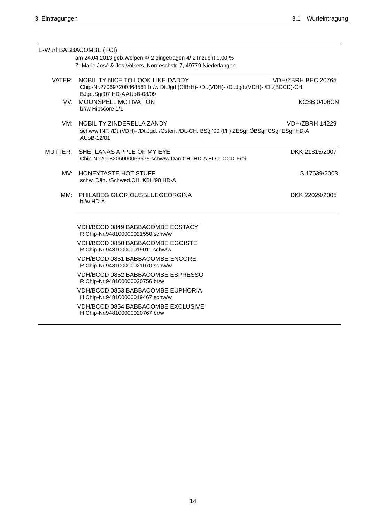|                                                                                                                                                                | E-Wurf BABBACOMBE (FCI)                                                                                                                    |                       |
|----------------------------------------------------------------------------------------------------------------------------------------------------------------|--------------------------------------------------------------------------------------------------------------------------------------------|-----------------------|
|                                                                                                                                                                | am 24.04.2013 geb. Welpen 4/ 2 eingetragen 4/ 2 Inzucht 0,00 %<br>Z: Marie José & Jos Volkers, Nordeschstr. 7, 49779 Niederlangen          |                       |
|                                                                                                                                                                |                                                                                                                                            |                       |
| VATER: NOBILITY NICE TO LOOK LIKE DADDY<br>Chip-Nr.270697200364561 br/w Dt.Jgd.(CfBrH)- /Dt.(VDH)- /Dt.Jgd.(VDH)- /Dt.(BCCD)-CH.<br>BJgd.Sgr'07 HD-AAUoB-08/09 |                                                                                                                                            | VDH/ZBRH BEC 20765    |
|                                                                                                                                                                | VV: MOONSPELL MOTIVATION<br>br/w Hipscore 1/1                                                                                              | <b>KCSB 0406CN</b>    |
|                                                                                                                                                                | VM: NOBILITY ZINDERELLA ZANDY<br>schw/w INT. /Dt.(VDH)- /Dt.Jgd. /Österr. /Dt.-CH. BSgr'00 (I/II) ZESgr ÖBSgr CSgr ESgr HD-A<br>AUoB-12/01 | <b>VDH/ZBRH 14229</b> |
|                                                                                                                                                                | MUTTER: SHETLANAS APPLE OF MY EYE<br>Chip-Nr.2008206000066675 schw/w Dän.CH. HD-A ED-0 OCD-Frei                                            | DKK 21815/2007        |
|                                                                                                                                                                | MV: HONEYTASTE HOT STUFF<br>schw. Dän. /Schwed.CH. KBH'98 HD-A                                                                             | S 17639/2003          |
| MM:                                                                                                                                                            | PHILABEG GLORIOUSBLUEGEORGINA<br>bl/w HD-A                                                                                                 | DKK 22029/2005        |
|                                                                                                                                                                | <b>VDH/BCCD 0849 BABBACOMBE ECSTACY</b><br>R Chip-Nr.948100000021550 schw/w                                                                |                       |
|                                                                                                                                                                | <b>VDH/BCCD 0850 BABBACOMBE EGOISTE</b><br>R Chip-Nr.948100000019011 schw/w                                                                |                       |
|                                                                                                                                                                | VDH/BCCD 0851 BABBACOMBE ENCORE<br>R Chip-Nr.948100000021070 schw/w                                                                        |                       |
|                                                                                                                                                                | VDH/BCCD 0852 BABBACOMBE ESPRESSO<br>R Chip-Nr.948100000020756 br/w                                                                        |                       |
|                                                                                                                                                                | VDH/BCCD 0853 BABBACOMBE EUPHORIA<br>H Chip-Nr.948100000019467 schw/w                                                                      |                       |
|                                                                                                                                                                | VDH/BCCD 0854 BABBACOMBE EXCLUSIVE<br>H Chip-Nr.948100000020767 br/w                                                                       |                       |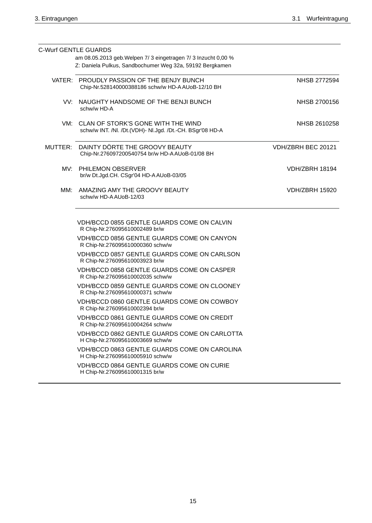| <b>C-Wurf GENTLE GUARDS</b>                                                                         |                       |
|-----------------------------------------------------------------------------------------------------|-----------------------|
| am 08.05.2013 geb. Welpen 7/ 3 eingetragen 7/ 3 Inzucht 0,00 %                                      |                       |
| Z: Daniela Pulkus, Sandbochumer Weg 32a, 59192 Bergkamen                                            |                       |
| VATER: PROUDLY PASSION OF THE BENJY BUNCH<br>Chip-Nr.528140000388186 schw/w HD-A AUoB-12/10 BH      | NHSB 2772594          |
| VV: NAUGHTY HANDSOME OF THE BENJI BUNCH<br>schw/w HD-A                                              | NHSB 2700156          |
| VM: CLAN OF STORK'S GONE WITH THE WIND<br>schw/w INT. /Nl. /Dt.(VDH)- Nl.Jgd. /Dt.-CH. BSgr'08 HD-A | NHSB 2610258          |
| MUTTER: DAINTY DÖRTE THE GROOVY BEAUTY<br>Chip-Nr.276097200540754 br/w HD-A AUoB-01/08 BH           | VDH/ZBRH BEC 20121    |
| MV: PHILEMON OBSERVER<br>br/w Dt.Jgd.CH. CSgr'04 HD-A AUoB-03/05                                    | VDH/ZBRH 18194        |
| MM: AMAZING AMY THE GROOVY BEAUTY<br>schw/w HD-A AUoB-12/03                                         | <b>VDH/ZBRH 15920</b> |
| VDH/BCCD 0855 GENTLE GUARDS COME ON CALVIN<br>R Chip-Nr.276095610002489 br/w                        |                       |
| VDH/BCCD 0856 GENTLE GUARDS COME ON CANYON<br>R Chip-Nr.276095610000360 schw/w                      |                       |
| VDH/BCCD 0857 GENTLE GUARDS COME ON CARLSON<br>R Chip-Nr.276095610003923 br/w                       |                       |
| VDH/BCCD 0858 GENTLE GUARDS COME ON CASPER<br>R Chip-Nr.276095610002035 schw/w                      |                       |
| VDH/BCCD 0859 GENTLE GUARDS COME ON CLOONEY<br>R Chip-Nr.276095610000371 schw/w                     |                       |
| VDH/BCCD 0860 GENTLE GUARDS COME ON COWBOY<br>R Chip-Nr.276095610002394 br/w                        |                       |
| VDH/BCCD 0861 GENTLE GUARDS COME ON CREDIT<br>R Chip-Nr.276095610004264 schw/w                      |                       |
| VDH/BCCD 0862 GENTLE GUARDS COME ON CARLOTTA<br>H Chip-Nr.276095610003669 schw/w                    |                       |
| VDH/BCCD 0863 GENTLE GUARDS COME ON CAROLINA<br>H Chip-Nr.276095610005910 schw/w                    |                       |
| VDH/BCCD 0864 GENTLE GUARDS COME ON CURIE<br>H Chip-Nr.276095610001315 br/w                         |                       |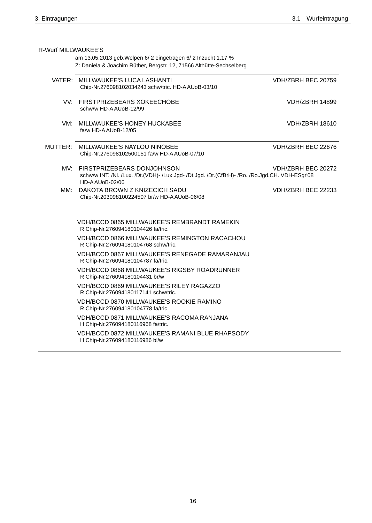| R-Wurf MILLWAUKEE'S |                                                                                                                                                    |                       |
|---------------------|----------------------------------------------------------------------------------------------------------------------------------------------------|-----------------------|
|                     | am 13.05.2013 geb. Welpen 6/2 eingetragen 6/2 Inzucht 1,17 %<br>Z: Daniela & Joachim Rüther, Bergstr. 12, 71566 Althütte-Sechselberg               |                       |
|                     |                                                                                                                                                    |                       |
|                     | VATER: MILLWAUKEE'S LUCA LASHANTI<br>Chip-Nr.276098102034243 schw/tric. HD-AAUoB-03/10                                                             | VDH/ZBRH BEC 20759    |
|                     | VV: FIRSTPRIZEBEARS XOKEECHOBE<br>schw/w HD-A AUoB-12/99                                                                                           | <b>VDH/ZBRH 14899</b> |
|                     | VM: MILLWAUKEE'S HONEY HUCKABEE<br>fa/w HD-A AUoB-12/05                                                                                            | VDH/ZBRH 18610        |
| MUTTER:             | MILLWAUKEE'S NAYLOU NINOBEE<br>Chip-Nr.276098102500151 fa/w HD-A AUoB-07/10                                                                        | VDH/ZBRH BEC 22676    |
|                     | MV: FIRSTPRIZEBEARS DONJOHNSON<br>schw/w INT. /Nl. /Lux. /Dt.(VDH)- /Lux.Jgd- /Dt.Jgd. /Dt.(CfBrH)- /Ro. /Ro.Jgd.CH. VDH-ESgr'08<br>HD-AAUoB-02/06 | VDH/ZBRH BEC 20272    |
| MM:                 | DAKOTA BROWN Z KNIZECICH SADU<br>Chip-Nr.203098100224507 br/w HD-A AUoB-06/08                                                                      | VDH/ZBRH BEC 22233    |
|                     | VDH/BCCD 0865 MILLWAUKEE'S REMBRANDT RAMEKIN<br>R Chip-Nr.276094180104426 fa/tric.                                                                 |                       |
|                     | <b>VDH/BCCD 0866 MILLWAUKEE'S REMINGTON RACACHOU</b><br>R Chip-Nr.276094180104768 schw/tric.                                                       |                       |
|                     | VDH/BCCD 0867 MILLWAUKEE'S RENEGADE RAMARANJAU<br>R Chip-Nr.276094180104787 fa/tric.                                                               |                       |
|                     | <b>VDH/BCCD 0868 MILLWAUKEE'S RIGSBY ROADRUNNER</b><br>R Chip-Nr.276094180104431 br/w                                                              |                       |
|                     | VDH/BCCD 0869 MILLWAUKEE'S RILEY RAGAZZO<br>R Chip-Nr.276094180117141 schw/tric.                                                                   |                       |
|                     | VDH/BCCD 0870 MILLWAUKEE'S ROOKIE RAMINO<br>R Chip-Nr.276094180104778 fa/tric.                                                                     |                       |
|                     | VDH/BCCD 0871 MILLWAUKEE'S RACOMA RANJANA<br>H Chip-Nr.276094180116968 fa/tric.                                                                    |                       |
|                     | VDH/BCCD 0872 MILLWAUKEE'S RAMANI BLUE RHAPSODY<br>H Chip-Nr.276094180116986 bl/w                                                                  |                       |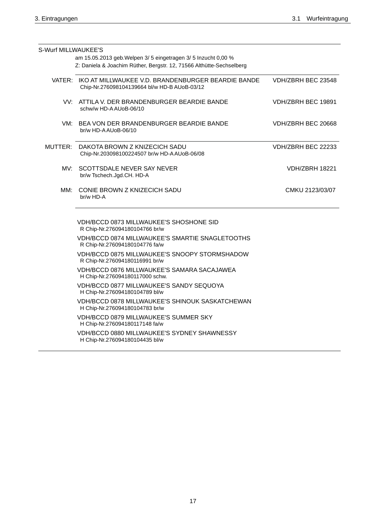| S-Wurf MILLWAUKEE'S |                                                                                                                                      |                    |
|---------------------|--------------------------------------------------------------------------------------------------------------------------------------|--------------------|
|                     | am 15.05.2013 geb. Welpen 3/5 eingetragen 3/5 Inzucht 0,00 %<br>Z: Daniela & Joachim Rüther, Bergstr. 12, 71566 Althütte-Sechselberg |                    |
|                     | VATER: IKO AT MILLWAUKEE V.D. BRANDENBURGER BEARDIE BANDE<br>Chip-Nr.276098104139664 bl/w HD-B AUoB-03/12                            | VDH/ZBRH BEC 23548 |
|                     | VV: ATTILA V. DER BRANDENBURGER BEARDIE BANDE<br>schw/w HD-A AUoB-06/10                                                              | VDH/ZBRH BEC 19891 |
|                     | VM: BEA VON DER BRANDENBURGER BEARDIE BANDE<br>br/w HD-AAUoB-06/10                                                                   | VDH/ZBRH BEC 20668 |
|                     | MUTTER: DAKOTA BROWN Z KNIZECICH SADU<br>Chip-Nr.203098100224507 br/w HD-A AUoB-06/08                                                | VDH/ZBRH BEC 22233 |
|                     | MV: SCOTTSDALE NEVER SAY NEVER<br>br/w Tschech.Jgd.CH. HD-A                                                                          | VDH/ZBRH 18221     |
| MM:                 | CONIE BROWN Z KNIZECICH SADU<br>br/w HD-A                                                                                            | CMKU 2123/03/07    |
|                     | VDH/BCCD 0873 MILLWAUKEE'S SHOSHONE SID<br>R Chip-Nr.276094180104766 br/w                                                            |                    |
|                     | VDH/BCCD 0874 MILLWAUKEE'S SMARTIE SNAGLETOOTHS<br>R Chip-Nr.276094180104776 fa/w                                                    |                    |
|                     | VDH/BCCD 0875 MILLWAUKEE'S SNOOPY STORMSHADOW<br>R Chip-Nr.276094180116991 br/w                                                      |                    |
|                     | VDH/BCCD 0876 MILLWAUKEE'S SAMARA SACAJAWEA<br>H Chip-Nr.276094180117000 schw.                                                       |                    |
|                     | VDH/BCCD 0877 MILLWAUKEE'S SANDY SEQUOYA<br>H Chip-Nr.276094180104789 bl/w                                                           |                    |
|                     | VDH/BCCD 0878 MILLWAUKEE'S SHINOUK SASKATCHEWAN<br>H Chip-Nr.276094180104783 br/w                                                    |                    |
|                     | VDH/BCCD 0879 MILLWAUKEE'S SUMMER SKY<br>H Chip-Nr.276094180117148 fa/w                                                              |                    |
|                     | VDH/BCCD 0880 MILLWAUKEE'S SYDNEY SHAWNESSY<br>H Chip-Nr.276094180104435 bl/w                                                        |                    |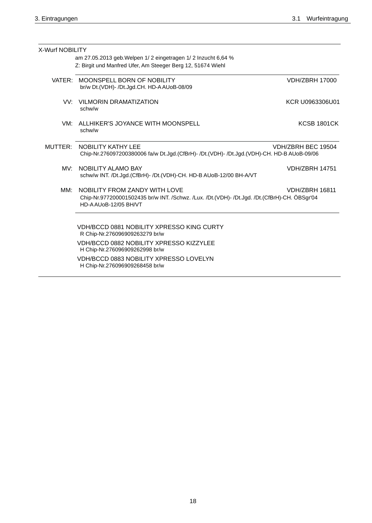| X-Wurf NOBILITY |                                                                                                                                                       |                       |
|-----------------|-------------------------------------------------------------------------------------------------------------------------------------------------------|-----------------------|
|                 | am 27.05.2013 geb. Welpen 1/2 eingetragen 1/2 Inzucht 6,64 %<br>Z: Birgit und Manfred Ufer, Am Steeger Berg 12, 51674 Wiehl                           |                       |
|                 | VATER: MOONSPELL BORN OF NOBILITY<br>br/w Dt.(VDH)- /Dt.Jgd.CH. HD-A AUoB-08/09                                                                       | <b>VDH/ZBRH 17000</b> |
|                 | VV: VILMORIN DRAMATIZATION<br>schw/w                                                                                                                  | KCR U0963306U01       |
| VM:             | ALLHIKER'S JOYANCE WITH MOONSPELL<br>schw/w                                                                                                           | <b>KCSB 1801CK</b>    |
| MUTTER:         | NOBILITY KATHY LEE<br>Chip-Nr.276097200380006 fa/w Dt.Jgd.(CfBrH)- /Dt.(VDH)- /Dt.Jgd.(VDH)-CH. HD-B AUoB-09/06                                       | VDH/ZBRH BEC 19504    |
| MV:             | NOBILITY ALAMO BAY<br>schw/w INT. /Dt.Jgd.(CfBrH)- /Dt.(VDH)-CH. HD-B AUoB-12/00 BH-A/VT                                                              | <b>VDH/ZBRH 14751</b> |
| MM:             | NOBILITY FROM ZANDY WITH LOVE<br>Chip-Nr.977200001502435 br/w INT. /Schwz. /Lux. /Dt.(VDH)- /Dt.Jgd. /Dt.(CfBrH)-CH. ÖBSgr'04<br>HD-AAU0B-12/05 BH/VT | <b>VDH/ZBRH 16811</b> |
|                 | <b>VDH/BCCD 0881 NOBILITY XPRESSO KING CURTY</b><br>R Chip-Nr.276096909263279 br/w                                                                    |                       |
|                 | VDH/BCCD 0882 NOBILITY XPRESSO KIZZYLEE<br>H Chip-Nr.276096909262998 br/w                                                                             |                       |
|                 | VDH/BCCD 0883 NOBILITY XPRESSO LOVELYN<br>H Chip-Nr.276096909268458 br/w                                                                              |                       |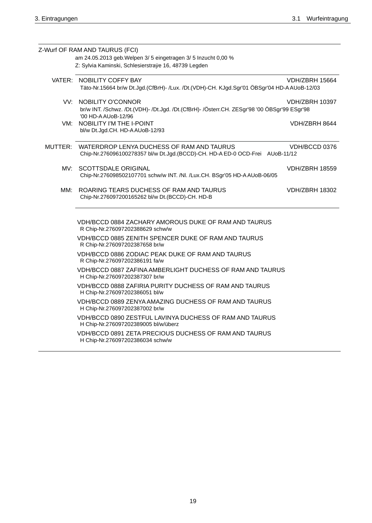|     | Z-Wurf OF RAM AND TAURUS (FCI)<br>am 24.05.2013 geb. Welpen 3/5 eingetragen 3/5 Inzucht 0,00 %                                                   |  |
|-----|--------------------------------------------------------------------------------------------------------------------------------------------------|--|
|     | Z: Sylvia Kaminski, Schlesierstraÿe 16, 48739 Legden                                                                                             |  |
|     |                                                                                                                                                  |  |
|     | VATER: NOBILITY COFFY BAY<br><b>VDH/ZBRH 15664</b><br>Täto-Nr.15664 br/w Dt.Jgd.(CfBrH)- /Lux. /Dt.(VDH)-CH. KJgd.Sgr'01 ÖBSgr'04 HD-AAUoB-12/03 |  |
|     |                                                                                                                                                  |  |
|     | VV: NOBILITY O'CONNOR<br>VDH/ZBRH 10397                                                                                                          |  |
|     | br/w INT. /Schwz. /Dt.(VDH)- /Dt.Jgd. /Dt.(CfBrH)- /Österr.CH. ZESgr'98 '00 ÖBSgr'99 ESgr'98<br>'00 HD-A AUoB-12/96                              |  |
| VM: | NOBILITY I'M THE I-POINT<br>VDH/ZBRH 8644                                                                                                        |  |
|     | bl/w Dt.Jgd.CH. HD-AAUoB-12/93                                                                                                                   |  |
|     | MUTTER: WATERDROP LENYA DUCHESS OF RAM AND TAURUS<br>VDH/BCCD 0376                                                                               |  |
|     | Chip-Nr.276096100278357 bl/w Dt.Jgd.(BCCD)-CH. HD-A ED-0 OCD-Frei AUoB-11/12                                                                     |  |
| MV: | SCOTTSDALE ORIGINAL<br><b>VDH/ZBRH 18559</b>                                                                                                     |  |
|     | Chip-Nr.276098502107701 schw/w INT. /Nl. /Lux.CH. BSgr'05 HD-A AUoB-06/05                                                                        |  |
| MM: | ROARING TEARS DUCHESS OF RAM AND TAURUS<br><b>VDH/ZBRH 18302</b>                                                                                 |  |
|     | Chip-Nr.276097200165262 bl/w Dt.(BCCD)-CH. HD-B                                                                                                  |  |
|     |                                                                                                                                                  |  |
|     | VDH/BCCD 0884 ZACHARY AMOROUS DUKE OF RAM AND TAURUS<br>R Chip-Nr.276097202388629 schw/w                                                         |  |
|     | VDH/BCCD 0885 ZENITH SPENCER DUKE OF RAM AND TAURUS<br>R Chip-Nr.276097202387658 br/w                                                            |  |
|     | VDH/BCCD 0886 ZODIAC PEAK DUKE OF RAM AND TAURUS<br>R Chip-Nr.276097202386191 fa/w                                                               |  |
|     | VDH/BCCD 0887 ZAFINA AMBERLIGHT DUCHESS OF RAM AND TAURUS<br>H Chip-Nr.276097202387307 br/w                                                      |  |
|     | VDH/BCCD 0888 ZAFIRIA PURITY DUCHESS OF RAM AND TAURUS<br>H Chip-Nr.276097202386051 bl/w                                                         |  |
|     | VDH/BCCD 0889 ZENYA AMAZING DUCHESS OF RAM AND TAURUS<br>H Chip-Nr.276097202387002 br/w                                                          |  |
|     | VDH/BCCD 0890 ZESTFUL LAVINYA DUCHESS OF RAM AND TAURUS<br>H Chip-Nr.276097202389005 bl/w/überz                                                  |  |
|     | VDH/BCCD 0891 ZETA PRECIOUS DUCHESS OF RAM AND TAURUS<br>H Chip-Nr.276097202386034 schw/w                                                        |  |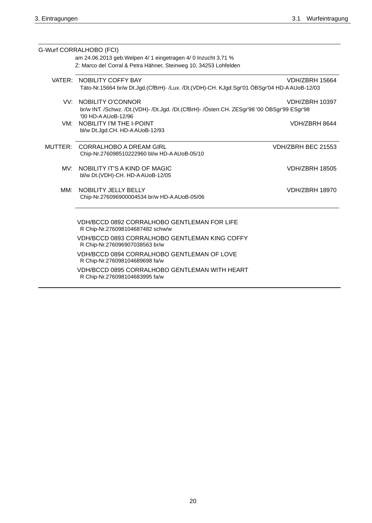|         | G-Wurf CORRALHOBO (FCI)<br>am 24.06.2013 geb. Welpen 4/ 1 eingetragen 4/ 0 Inzucht 3,71 %                           |                       |
|---------|---------------------------------------------------------------------------------------------------------------------|-----------------------|
|         | Z: Marco del Corral & Petra Hähner, Steinweg 10, 34253 Lohfelden                                                    |                       |
|         | VATER: NOBILITY COFFY BAY                                                                                           | <b>VDH/ZBRH 15664</b> |
|         | Täto-Nr.15664 br/w Dt.Jgd.(CfBrH)- /Lux. /Dt.(VDH)-CH. KJgd.Sgr'01 ÖBSgr'04 HD-AAUoB-12/03                          |                       |
|         | VV: NOBILITY O'CONNOR                                                                                               | <b>VDH/ZBRH 10397</b> |
|         | br/w INT. /Schwz. /Dt.(VDH)- /Dt.Jgd. /Dt.(CfBrH)- /Österr.CH. ZESgr'98 '00 ÖBSgr'99 ESgr'98<br>'00 HD-A AUoB-12/96 |                       |
| VM:     | NOBILITY I'M THE I-POINT                                                                                            | VDH/ZBRH 8644         |
|         | bl/w Dt.Jgd.CH. HD-AAUoB-12/93                                                                                      |                       |
| MUTTER: | CORRALHOBO A DREAM GIRL                                                                                             | VDH/ZBRH BEC 21553    |
|         | Chip-Nr.276098510222960 bl/w HD-A AUoB-05/10                                                                        |                       |
| MV:     | NOBILITY IT'S A KIND OF MAGIC                                                                                       | <b>VDH/ZBRH 18505</b> |
|         | bl/w Dt.(VDH)-CH. HD-A AUoB-12/05                                                                                   |                       |
| MM:     | NOBILITY JELLY BELLY                                                                                                | <b>VDH/ZBRH 18970</b> |
|         | Chip-Nr.276096900004534 br/w HD-A AUoB-05/06                                                                        |                       |
|         |                                                                                                                     |                       |
|         | VDH/BCCD 0892 CORRALHOBO GENTLEMAN FOR LIFE<br>R Chip-Nr.276098104687482 schw/w                                     |                       |
|         | VDH/BCCD 0893 CORRALHOBO GENTLEMAN KING COFFY<br>R Chip-Nr.276096907038563 br/w                                     |                       |
|         | VDH/BCCD 0894 CORRALHOBO GENTLEMAN OF LOVE<br>R Chip-Nr.276098104689698 fa/w                                        |                       |
|         | VDH/BCCD 0895 CORRALHOBO GENTLEMAN WITH HEART<br>R Chip-Nr.276098104683995 fa/w                                     |                       |
|         |                                                                                                                     |                       |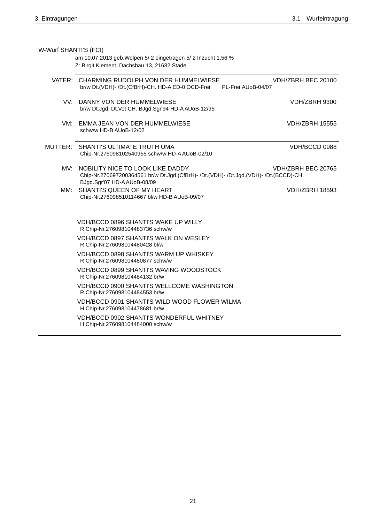| W-Wurf SHANTI'S (FCI) |                                                                                                                                                                               |
|-----------------------|-------------------------------------------------------------------------------------------------------------------------------------------------------------------------------|
|                       | am 10.07.2013 geb. Welpen 5/2 eingetragen 5/2 Inzucht 1,56 %<br>Z: Birgit Klement, Dachsbau 13, 21682 Stade                                                                   |
|                       | VATER: CHARMING RUDOLPH VON DER HUMMELWIESE<br>VDH/ZBRH BEC 20100<br>br/w Dt.(VDH)- /Dt.(CfBrH)-CH. HD-A ED-0 OCD-Frei<br>PL-Frei AUoB-04/07                                  |
|                       | VV: DANNY VON DER HUMMELWIESE<br>VDH/ZBRH 9300<br>br/w Dt.Jgd. Dt.Vet.CH. BJgd.Sgr'94 HD-A AUoB-12/95                                                                         |
|                       | VM: EMMA JEAN VON DER HUMMELWIESE<br><b>VDH/ZBRH 15555</b><br>schw/w HD-B AUoB-12/02                                                                                          |
|                       | MUTTER: SHANTI'S ULTIMATE TRUTH UMA<br>VDH/BCCD 0088<br>Chip-Nr.276098102540955 schw/w HD-A AUoB-02/10                                                                        |
| MV:                   | NOBILITY NICE TO LOOK LIKE DADDY<br>VDH/ZBRH BEC 20765<br>Chip-Nr.270697200364561 br/w Dt.Jgd.(CfBrH)- /Dt.(VDH)- /Dt.Jgd.(VDH)- /Dt.(BCCD)-CH.<br>BJgd.Sgr'07 HD-AAUoB-08/09 |
| MM:                   | SHANTI'S QUEEN OF MY HEART<br><b>VDH/ZBRH 18593</b><br>Chip-Nr.276098510114667 bl/w HD-B AUoB-09/07                                                                           |
|                       | VDH/BCCD 0896 SHANTI'S WAKE UP WILLY<br>R Chip-Nr.276098104483736 schw/w                                                                                                      |
|                       | <b>VDH/BCCD 0897 SHANTI'S WALK ON WESLEY</b><br>R Chip-Nr.276098104480428 bl/w                                                                                                |
|                       | VDH/BCCD 0898 SHANTI'S WARM UP WHISKEY<br>R Chip-Nr.276098104480877 schw/w                                                                                                    |
|                       | VDH/BCCD 0899 SHANTI'S WAVING WOODSTOCK<br>R Chip-Nr.276098104484132 br/w                                                                                                     |
|                       | VDH/BCCD 0900 SHANTI'S WELLCOME WASHINGTON<br>R Chip-Nr.276098104484553 br/w                                                                                                  |
|                       | VDH/BCCD 0901 SHANTI'S WILD WOOD FLOWER WILMA<br>H Chip-Nr.276098104478681 br/w                                                                                               |
|                       | VDH/BCCD 0902 SHANTI'S WONDERFUL WHITNEY<br>H Chip-Nr.276098104484000 schw/w                                                                                                  |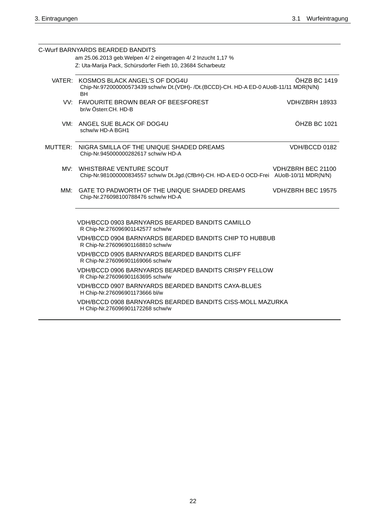|     | C-Wurf BARNYARDS BEARDED BANDITS                                                                                                           |                       |
|-----|--------------------------------------------------------------------------------------------------------------------------------------------|-----------------------|
|     | am 25.06.2013 geb. Welpen 4/ 2 eingetragen 4/ 2 Inzucht 1,17 %<br>Z: Uta-Marija Pack, Schürsdorfer Fieth 10, 23684 Scharbeutz              |                       |
|     |                                                                                                                                            |                       |
|     | VATER: KOSMOS BLACK ANGEL'S OF DOG4U<br>Chip-Nr.972000000573439 schw/w Dt.(VDH)- /Dt.(BCCD)-CH. HD-A ED-0 AUoB-11/11 MDR(N/N)<br><b>BH</b> | ÖHZB BC 1419          |
|     | VV: FAVOURITE BROWN BEAR OF BEESFOREST<br>br/w Österr.CH. HD-B                                                                             | <b>VDH/ZBRH 18933</b> |
|     | VM: ANGEL SUE BLACK OF DOG4U<br>schw/w HD-A BGH1                                                                                           | ÖHZB BC 1021          |
|     | MUTTER: NIGRA SMILLA OF THE UNIQUE SHADED DREAMS<br>Chip-Nr.945000000282617 schw/w HD-A                                                    | VDH/BCCD 0182         |
|     | MV: WHISTBRAE VENTURE SCOUT<br>Chip-Nr.981000000834557 schw/w Dt.Jgd.(CfBrH)-CH. HD-A ED-0 OCD-Frei AUoB-10/11 MDR(N/N)                    | VDH/ZBRH BEC 21100    |
| MM: | GATE TO PADWORTH OF THE UNIQUE SHADED DREAMS<br>Chip-Nr.276098100788476 schw/w HD-A                                                        | VDH/ZBRH BEC 19575    |
|     | <b>VDH/BCCD 0903 BARNYARDS BEARDED BANDITS CAMILLO</b><br>R Chip-Nr.276096901142577 schw/w                                                 |                       |
|     | <b>VDH/BCCD 0904 BARNYARDS BEARDED BANDITS CHIP TO HUBBUB</b><br>R Chip-Nr.276096901168810 schw/w                                          |                       |
|     | VDH/BCCD 0905 BARNYARDS BEARDED BANDITS CLIFF<br>R Chip-Nr.276096901169066 schw/w                                                          |                       |
|     | <b>VDH/BCCD 0906 BARNYARDS BEARDED BANDITS CRISPY FELLOW</b><br>R Chip-Nr.276096901163695 schw/w                                           |                       |
|     | VDH/BCCD 0907 BARNYARDS BEARDED BANDITS CAYA-BLUES<br>H Chip-Nr.276096901173666 bl/w                                                       |                       |
|     | VDH/BCCD 0908 BARNYARDS BEARDED BANDITS CISS-MOLL MAZURKA<br>H Chip-Nr.276096901172268 schw/w                                              |                       |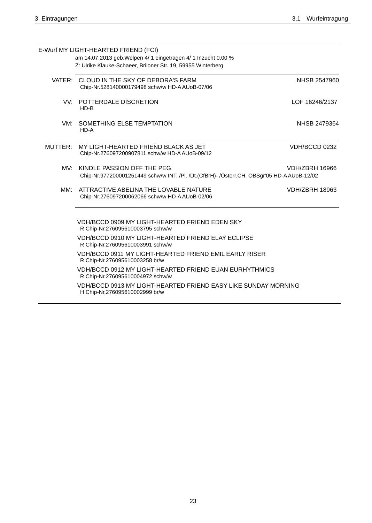|         | E-Wurf MY LIGHT-HEARTED FRIEND (FCI)                                                                                           |                       |
|---------|--------------------------------------------------------------------------------------------------------------------------------|-----------------------|
|         | am 14.07.2013 geb. Welpen 4/ 1 eingetragen 4/ 1 Inzucht 0,00 %<br>Z: Ulrike Klauke-Schaeer, Briloner Str. 19, 59955 Winterberg |                       |
|         |                                                                                                                                |                       |
|         | VATER: CLOUD IN THE SKY OF DEBORA'S FARM<br>Chip-Nr.528140000179498 schw/w HD-AAUoB-07/06                                      | NHSB 2547960          |
|         | VV: POTTERDALE DISCRETION<br>$HD-B$                                                                                            | LOF 16246/2137        |
| VM:     | SOMETHING ELSE TEMPTATION<br>HD-A                                                                                              | NHSB 2479364          |
| MUTTER: | MY LIGHT-HEARTED FRIEND BLACK AS JET<br>Chip-Nr.276097200907811 schw/w HD-A AUoB-09/12                                         | VDH/BCCD 0232         |
| MV:     | KINDLE PASSION OFF THE PEG<br>Chip-Nr.977200001251449 schw/w INT. /Pl. /Dt.(CfBrH)- /Österr.CH. ÖBSgr'05 HD-A AUoB-12/02       | <b>VDH/ZBRH 16966</b> |
| MM:     | ATTRACTIVE ABELINA THE LOVABLE NATURE<br>Chip-Nr.276097200062066 schw/w HD-A AUoB-02/06                                        | <b>VDH/ZBRH 18963</b> |
|         | VDH/BCCD 0909 MY LIGHT-HEARTED FRIEND EDEN SKY<br>R Chip-Nr.276095610003795 schw/w                                             |                       |
|         | VDH/BCCD 0910 MY LIGHT-HEARTED FRIEND ELAY ECLIPSE<br>R Chip-Nr.276095610003991 schw/w                                         |                       |
|         | VDH/BCCD 0911 MY LIGHT-HEARTED FRIEND EMIL EARLY RISER<br>R Chip-Nr.276095610003258 br/w                                       |                       |
|         | VDH/BCCD 0912 MY LIGHT-HEARTED FRIEND EUAN EURHYTHMICS<br>R Chip-Nr.276095610004972 schw/w                                     |                       |
|         | VDH/BCCD 0913 MY LIGHT-HEARTED FRIEND EASY LIKE SUNDAY MORNING<br>H Chip-Nr.276095610002999 br/w                               |                       |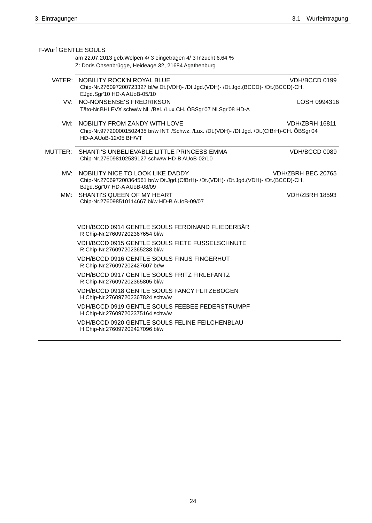| <b>F-Wurf GENTLE SOULS</b> |                                                                                                                                                           |                       |
|----------------------------|-----------------------------------------------------------------------------------------------------------------------------------------------------------|-----------------------|
|                            | am 22.07.2013 geb. Welpen 4/ 3 eingetragen 4/ 3 Inzucht 6,64 %<br>Z: Doris Ohsenbrügge, Heideage 32, 21684 Agathenburg                                    |                       |
|                            | VATER: NOBILITY ROCK'N ROYAL BLUE<br>Chip-Nr.276097200723327 bl/w Dt.(VDH)- /Dt.Jgd.(VDH)- /Dt.Jgd.(BCCD)- /Dt.(BCCD)-CH.<br>EJgd.Sgr'10 HD-AAUoB-05/10   | VDH/BCCD 0199         |
| VV:                        | NO-NONSENSE'S FREDRIKSON<br>Täto-Nr.BHLEVX schw/w Nl. /Bel. /Lux.CH. ÖBSgr'07 Nl.Sgr'08 HD-A                                                              | LOSH 0994316          |
|                            | VM: NOBILITY FROM ZANDY WITH LOVE<br>Chip-Nr.977200001502435 br/w INT. /Schwz. /Lux. /Dt.(VDH)- /Dt.Jgd. /Dt.(CfBrH)-CH. ÖBSgr'04<br>HD-AAU0B-12/05 BH/VT | <b>VDH/ZBRH 16811</b> |
| MUTTER:                    | SHANTI'S UNBELIEVABLE LITTLE PRINCESS EMMA<br>Chip-Nr.276098102539127 schw/w HD-B AUoB-02/10                                                              | VDH/BCCD 0089         |
| MV:                        | NOBILITY NICE TO LOOK LIKE DADDY<br>Chip-Nr.270697200364561 br/w Dt.Jgd.(CfBrH)- /Dt.(VDH)- /Dt.Jgd.(VDH)- /Dt.(BCCD)-CH.<br>BJgd.Sgr'07 HD-AAUoB-08/09   | VDH/ZBRH BEC 20765    |
| MM:                        | SHANTI'S QUEEN OF MY HEART<br>Chip-Nr.276098510114667 bl/w HD-B AUoB-09/07                                                                                | <b>VDH/ZBRH 18593</b> |
|                            | VDH/BCCD 0914 GENTLE SOULS FERDINAND FLIEDERBÄR<br>R Chip-Nr.276097202367654 bl/w                                                                         |                       |
|                            | VDH/BCCD 0915 GENTLE SOULS FIETE FUSSELSCHNUTE<br>R Chip-Nr.276097202365238 bl/w                                                                          |                       |
|                            | VDH/BCCD 0916 GENTLE SOULS FINUS FINGERHUT<br>R Chip-Nr.276097202427607 br/w                                                                              |                       |
|                            | VDH/BCCD 0917 GENTLE SOULS FRITZ FIRLEFANTZ<br>R Chip-Nr.276097202365805 bl/w                                                                             |                       |
|                            | VDH/BCCD 0918 GENTLE SOULS FANCY FLITZEBOGEN<br>H Chip-Nr.276097202367824 schw/w                                                                          |                       |
|                            | VDH/BCCD 0919 GENTLE SOULS FEEBEE FEDERSTRUMPF<br>H Chip-Nr.276097202375164 schw/w                                                                        |                       |
|                            | VDH/BCCD 0920 GENTLE SOULS FELINE FEILCHENBLAU<br>H Chip-Nr.276097202427096 bl/w                                                                          |                       |
|                            |                                                                                                                                                           |                       |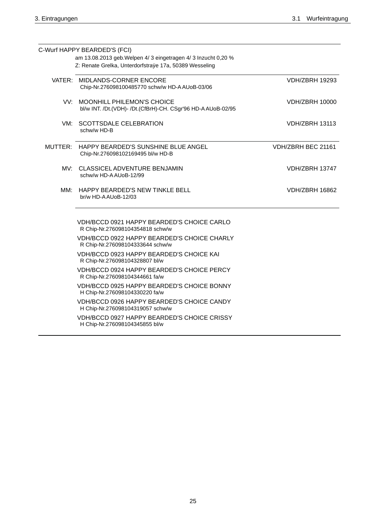|     | C-Wurf HAPPY BEARDED'S (FCI)<br>am 13.08.2013 geb. Welpen 4/ 3 eingetragen 4/ 3 Inzucht 0,20 % |                       |
|-----|------------------------------------------------------------------------------------------------|-----------------------|
|     | Z: Renate Grelka, Unterdorfstraÿe 17a, 50389 Wesseling                                         |                       |
|     |                                                                                                |                       |
|     | VATER: MIDLANDS-CORNER ENCORE<br>Chip-Nr.276098100485770 schw/w HD-A AUoB-03/06                | <b>VDH/ZBRH 19293</b> |
| VV: | MOONHILL PHILEMON'S CHOICE<br>bl/w INT. /Dt.(VDH)- /Dt.(CfBrH)-CH. CSgr'96 HD-A AUoB-02/95     | <b>VDH/ZBRH 10000</b> |
|     | VM: SCOTTSDALE CELEBRATION<br>schw/w HD-B                                                      | <b>VDH/ZBRH 13113</b> |
|     | MUTTER: HAPPY BEARDED'S SUNSHINE BLUE ANGEL<br>Chip-Nr.276098102169495 bl/w HD-B               | VDH/ZBRH BEC 21161    |
|     | MV: CLASSICEL ADVENTURE BENJAMIN<br>schw/w HD-A AUoB-12/99                                     | <b>VDH/ZBRH 13747</b> |
| MM: | HAPPY BEARDED'S NEW TINKLE BELL<br>br/w HD-AAUoB-12/03                                         | <b>VDH/ZBRH 16862</b> |
|     | VDH/BCCD 0921 HAPPY BEARDED'S CHOICE CARLO<br>R Chip-Nr.276098104354818 schw/w                 |                       |
|     | VDH/BCCD 0922 HAPPY BEARDED'S CHOICE CHARLY<br>R Chip-Nr.276098104333644 schw/w                |                       |
|     | VDH/BCCD 0923 HAPPY BEARDED'S CHOICE KAI<br>R Chip-Nr.276098104328807 bl/w                     |                       |
|     | VDH/BCCD 0924 HAPPY BEARDED'S CHOICE PERCY<br>R Chip-Nr.276098104344661 fa/w                   |                       |
|     | VDH/BCCD 0925 HAPPY BEARDED'S CHOICE BONNY<br>H Chip-Nr.276098104330220 fa/w                   |                       |
|     | VDH/BCCD 0926 HAPPY BEARDED'S CHOICE CANDY<br>H Chip-Nr.276098104319057 schw/w                 |                       |
|     | VDH/BCCD 0927 HAPPY BEARDED'S CHOICE CRISSY<br>H Chip-Nr.276098104345855 bl/w                  |                       |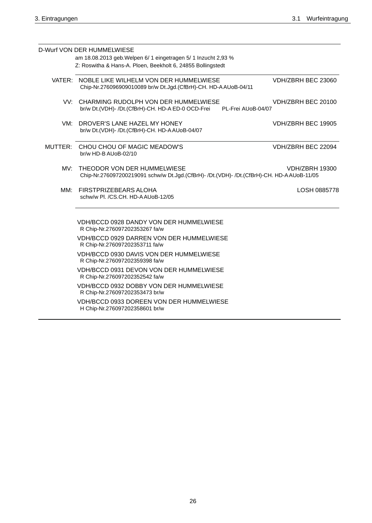|     | D-Wurf VON DER HUMMELWIESE                                                                                                    |                       |
|-----|-------------------------------------------------------------------------------------------------------------------------------|-----------------------|
|     | am 18.08.2013 geb. Welpen 6/ 1 eingetragen 5/ 1 Inzucht 2,93 %<br>Z: Roswitha & Hans-A. Ploen, Beekholt 6, 24855 Bollingstedt |                       |
|     |                                                                                                                               |                       |
|     | VATER: NOBLE LIKE WILHELM VON DER HUMMELWIESE<br>Chip-Nr.276096909010089 br/w Dt.Jgd.(CfBrH)-CH. HD-AAUoB-04/11               | VDH/ZBRH BEC 23060    |
|     | VV: CHARMING RUDOLPH VON DER HUMMELWIESE<br>br/w Dt.(VDH)- /Dt.(CfBrH)-CH. HD-A ED-0 OCD-Frei<br>PL-Frei AUoB-04/07           | VDH/ZBRH BEC 20100    |
| VM: | DROVER'S LANE HAZEL MY HONEY<br>br/w Dt.(VDH)- /Dt.(CfBrH)-CH. HD-AAUoB-04/07                                                 | VDH/ZBRH BEC 19905    |
|     | MUTTER: CHOU CHOU OF MAGIC MEADOW'S<br>br/w HD-B AUoB-02/10                                                                   | VDH/ZBRH BEC 22094    |
| MV: | THEODOR VON DER HUMMELWIESE<br>Chip-Nr.276097200219091 schw/w Dt.Jgd.(CfBrH)- /Dt.(VDH)- /Dt.(CfBrH)-CH. HD-A AUoB-11/05      | <b>VDH/ZBRH 19300</b> |
| MM: | FIRSTPRIZEBEARS ALOHA<br>schw/w Pl. /CS.CH. HD-AAUoB-12/05                                                                    | LOSH 0885778          |
|     | VDH/BCCD 0928 DANDY VON DER HUMMELWIESE<br>R Chip-Nr.276097202353267 fa/w                                                     |                       |
|     | <b>VDH/BCCD 0929 DARREN VON DER HUMMELWIESE</b><br>R Chip-Nr.276097202353711 fa/w                                             |                       |
|     | VDH/BCCD 0930 DAVIS VON DER HUMMELWIESE<br>R Chip-Nr.276097202359398 fa/w                                                     |                       |
|     | VDH/BCCD 0931 DEVON VON DER HUMMELWIESE<br>R Chip-Nr.276097202352542 fa/w                                                     |                       |
|     | VDH/BCCD 0932 DOBBY VON DER HUMMELWIESE<br>R Chip-Nr.276097202353473 br/w                                                     |                       |
|     | VDH/BCCD 0933 DOREEN VON DER HUMMELWIESE<br>H Chip-Nr.276097202358601 br/w                                                    |                       |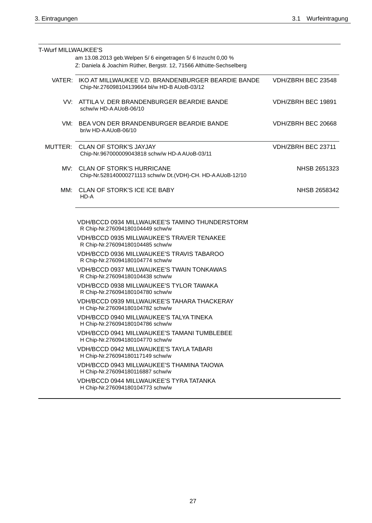| <b>T-Wurf MILLWAUKEE'S</b> | am 13.08.2013 geb. Welpen 5/6 eingetragen 5/6 Inzucht 0,00 %                                              |                     |
|----------------------------|-----------------------------------------------------------------------------------------------------------|---------------------|
|                            | Z: Daniela & Joachim Rüther, Bergstr. 12, 71566 Althütte-Sechselberg                                      |                     |
|                            | VATER: IKO AT MILLWAUKEE V.D. BRANDENBURGER BEARDIE BANDE<br>Chip-Nr.276098104139664 bl/w HD-B AUoB-03/12 | VDH/ZBRH BEC 23548  |
|                            | VV: ATTILA V. DER BRANDENBURGER BEARDIE BANDE<br>schw/w HD-A AUoB-06/10                                   | VDH/ZBRH BEC 19891  |
|                            | VM: BEA VON DER BRANDENBURGER BEARDIE BANDE<br>br/w HD-A AUoB-06/10                                       | VDH/ZBRH BEC 20668  |
|                            | MUTTER: CLAN OF STORK'S JAYJAY<br>Chip-Nr.967000009043818 schw/w HD-AAUoB-03/11                           | VDH/ZBRH BEC 23711  |
|                            | MV: CLAN OF STORK'S HURRICANE<br>Chip-Nr.528140000271113 schw/w Dt.(VDH)-CH. HD-AAUoB-12/10               | <b>NHSB 2651323</b> |
|                            | MM: CLAN OF STORK'S ICE ICE BABY<br>HD-A                                                                  | NHSB 2658342        |
|                            | VDH/BCCD 0934 MILLWAUKEE'S TAMINO THUNDERSTORM<br>R Chip-Nr.276094180104449 schw/w                        |                     |
|                            | VDH/BCCD 0935 MILLWAUKEE'S TRAVER TENAKEE<br>R Chip-Nr.276094180104485 schw/w                             |                     |
|                            | VDH/BCCD 0936 MILLWAUKEE'S TRAVIS TABAROO<br>R Chip-Nr.276094180104774 schw/w                             |                     |
|                            | <b>VDH/BCCD 0937 MILLWAUKEE'S TWAIN TONKAWAS</b><br>R Chip-Nr.276094180104438 schw/w                      |                     |
|                            | VDH/BCCD 0938 MILLWAUKEE'S TYLOR TAWAKA<br>R Chip-Nr.276094180104780 schw/w                               |                     |
|                            | VDH/BCCD 0939 MILLWAUKEE'S TAHARA THACKERAY<br>H Chip-Nr.276094180104782 schw/w                           |                     |
|                            | VDH/BCCD 0940 MILLWAUKEE'S TALYA TINEKA<br>H Chip-Nr.276094180104786 schw/w                               |                     |
|                            | <b>VDH/BCCD 0941 MILLWAUKEE'S TAMANI TUMBLEBEE</b><br>H Chip-Nr.276094180104770 schw/w                    |                     |
|                            | VDH/BCCD 0942 MILLWAUKEE'S TAYLA TABARI<br>H Chip-Nr.276094180117149 schw/w                               |                     |
|                            | VDH/BCCD 0943 MILLWAUKEE'S THAMINA TAIOWA<br>H Chip-Nr.276094180116887 schw/w                             |                     |
|                            | VDH/BCCD 0944 MILLWAUKEE'S TYRA TATANKA                                                                   |                     |

H Chip-Nr.276094180104773 schw/w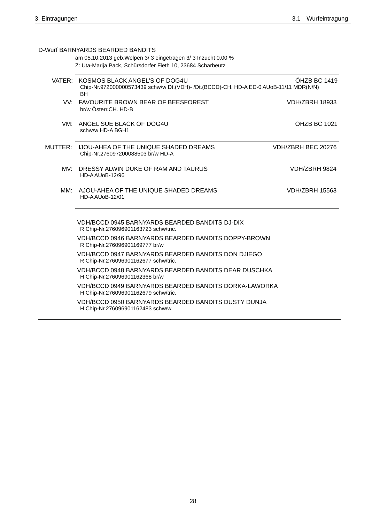| D-Wurf BARNYARDS BEARDED BANDITS<br>am 05.10.2013 geb. Welpen 3/ 3 eingetragen 3/ 3 Inzucht 0,00 %                                         |                       |
|--------------------------------------------------------------------------------------------------------------------------------------------|-----------------------|
| Z: Uta-Marija Pack, Schürsdorfer Fieth 10, 23684 Scharbeutz                                                                                |                       |
| VATER: KOSMOS BLACK ANGEL'S OF DOG4U<br>Chip-Nr.972000000573439 schw/w Dt.(VDH)- /Dt.(BCCD)-CH. HD-A ED-0 AUoB-11/11 MDR(N/N)<br><b>BH</b> | ÖHZB BC 1419          |
| VV: FAVOURITE BROWN BEAR OF BEESFOREST<br>br/w Österr.CH. HD-B                                                                             | <b>VDH/ZBRH 18933</b> |
| VM: ANGEL SUE BLACK OF DOG4U<br>schw/w HD-A BGH1                                                                                           | ÖHZB BC 1021          |
| MUTTER: IJOU-AHEA OF THE UNIQUE SHADED DREAMS<br>Chip-Nr.276097200088503 br/w HD-A                                                         | VDH/ZBRH BEC 20276    |
| MV: DRESSY ALWIN DUKE OF RAM AND TAURUS<br>HD-AAUoB-12/96                                                                                  | VDH/ZBRH 9824         |
| MM: AJOU-AHEA OF THE UNIQUE SHADED DREAMS<br>HD-AAUoB-12/01                                                                                | <b>VDH/ZBRH 15563</b> |
| VDH/BCCD 0945 BARNYARDS BEARDED BANDITS DJ-DIX<br>R Chip-Nr.276096901163723 schw/tric.                                                     |                       |
| VDH/BCCD 0946 BARNYARDS BEARDED BANDITS DOPPY-BROWN<br>R Chip-Nr.276096901169777 br/w                                                      |                       |
| VDH/BCCD 0947 BARNYARDS BEARDED BANDITS DON DJIEGO<br>R Chip-Nr.276096901162677 schw/tric.                                                 |                       |
| VDH/BCCD 0948 BARNYARDS BEARDED BANDITS DEAR DUSCHKA<br>H Chip-Nr.276096901162368 br/w                                                     |                       |
| VDH/BCCD 0949 BARNYARDS BEARDED BANDITS DORKA-LAWORKA<br>H Chip-Nr.276096901162679 schw/tric.                                              |                       |
| <b>VDH/BCCD 0950 BARNYARDS BEARDED BANDITS DUSTY DUNJA</b><br>H Chip-Nr.276096901162483 schw/w                                             |                       |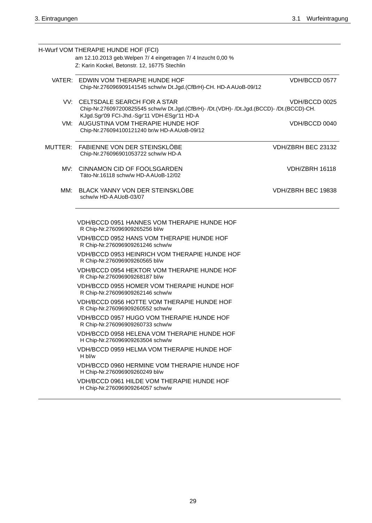| H-Wurf VOM THERAPIE HUNDE HOF (FCI)                                                                                                                                         |                       |
|-----------------------------------------------------------------------------------------------------------------------------------------------------------------------------|-----------------------|
| am 12.10.2013 geb. Welpen 7/ 4 eingetragen 7/ 4 Inzucht 0,00 %<br>Z: Karin Kockel, Betonstr. 12, 16775 Stechlin                                                             |                       |
| VATER: EDWIN VOM THERAPIE HUNDE HOF<br>Chip-Nr.276096909141545 schw/w Dt.Jgd.(CfBrH)-CH. HD-A AUoB-09/12                                                                    | VDH/BCCD 0577         |
| VV: CELTSDALE SEARCH FOR A STAR<br>Chip-Nr.276097200825545 schw/w Dt.Jgd.(CfBrH)- /Dt.(VDH)- /Dt.Jgd.(BCCD)- /Dt.(BCCD)-CH.<br>KJgd.Sgr'09 FCI-Jhd.-Sgr'11 VDH-ESgr'11 HD-A | VDH/BCCD 0025         |
| VM: AUGUSTINA VOM THERAPIE HUNDE HOF<br>Chip-Nr.276094100121240 br/w HD-A AUoB-09/12                                                                                        | VDH/BCCD 0040         |
| MUTTER: FABIENNE VON DER STEINSKLÖBE<br>Chip-Nr.276096901053722 schw/w HD-A                                                                                                 | VDH/ZBRH BEC 23132    |
| MV: CINNAMON CID OF FOOLSGARDEN<br>Täto-Nr.16118 schw/w HD-A AUoB-12/02                                                                                                     | <b>VDH/ZBRH 16118</b> |
| MM: BLACK YANNY VON DER STEINSKLÖBE<br>schw/w HD-AAUoB-03/07                                                                                                                | VDH/ZBRH BEC 19838    |
| VDH/BCCD 0951 HANNES VOM THERAPIE HUNDE HOF<br>R Chip-Nr.276096909265256 bl/w                                                                                               |                       |
| VDH/BCCD 0952 HANS VOM THERAPIE HUNDE HOF<br>R Chip-Nr.276096909261246 schw/w                                                                                               |                       |
| VDH/BCCD 0953 HEINRICH VOM THERAPIE HUNDE HOF<br>R Chip-Nr.276096909260565 bl/w                                                                                             |                       |
| VDH/BCCD 0954 HEKTOR VOM THERAPIE HUNDE HOF<br>R Chip-Nr.276096909268187 bl/w                                                                                               |                       |
| VDH/BCCD 0955 HOMER VOM THERAPIE HUNDE HOF<br>R Chip-Nr.276096909262146 schw/w                                                                                              |                       |
| VDH/BCCD 0956 HOTTE VOM THERAPIE HUNDE HOF<br>R Chip-Nr.276096909260552 schw/w                                                                                              |                       |
| VDH/BCCD 0957 HUGO VOM THERAPIE HUNDE HOF<br>R Chip-Nr.276096909260733 schw/w                                                                                               |                       |
| VDH/BCCD 0958 HELENA VOM THERAPIE HUNDE HOF<br>H Chip-Nr.276096909263504 schw/w                                                                                             |                       |
| VDH/BCCD 0959 HELMA VOM THERAPIE HUNDE HOF<br>H bl/w                                                                                                                        |                       |
| VDH/BCCD 0960 HERMINE VOM THERAPIE HUNDE HOF<br>H Chip-Nr.276096909260249 bl/w                                                                                              |                       |
| VDH/BCCD 0961 HILDE VOM THERAPIE HUNDE HOF<br>H Chip-Nr.276096909264057 schw/w                                                                                              |                       |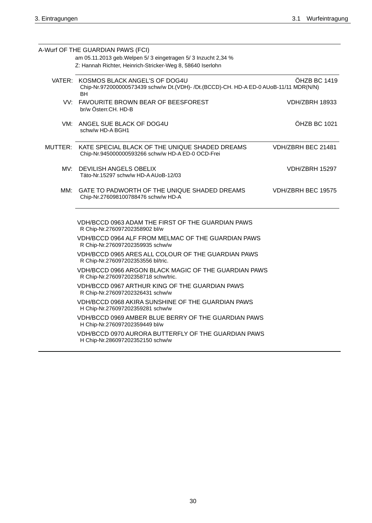|     | A-Wurf OF THE GUARDIAN PAWS (FCI)                                                                                                          |                       |
|-----|--------------------------------------------------------------------------------------------------------------------------------------------|-----------------------|
|     | am 05.11.2013 geb. Welpen 5/3 eingetragen 5/3 Inzucht 2,34 %<br>Z: Hannah Richter, Heinrich-Stricker-Weg 8, 58640 Iserlohn                 |                       |
|     | VATER: KOSMOS BLACK ANGEL'S OF DOG4U<br>Chip-Nr.972000000573439 schw/w Dt.(VDH)- /Dt.(BCCD)-CH. HD-A ED-0 AUoB-11/11 MDR(N/N)<br><b>BH</b> | ÖHZB BC 1419          |
|     | VV: FAVOURITE BROWN BEAR OF BEESFOREST<br>br/w Österr.CH. HD-B                                                                             | <b>VDH/ZBRH 18933</b> |
|     | VM: ANGEL SUE BLACK OF DOG4U<br>schw/w HD-A BGH1                                                                                           | ÖHZB BC 1021          |
|     | MUTTER: KATE SPECIAL BLACK OF THE UNIQUE SHADED DREAMS<br>Chip-Nr.945000000593266 schw/w HD-A ED-0 OCD-Frei                                | VDH/ZBRH BEC 21481    |
| MV: | DEVILISH ANGELS OBELIX<br>Täto-Nr.15297 schw/w HD-AAUoB-12/03                                                                              | VDH/ZBRH 15297        |
| MM: | GATE TO PADWORTH OF THE UNIQUE SHADED DREAMS<br>Chip-Nr.276098100788476 schw/w HD-A                                                        | VDH/ZBRH BEC 19575    |
|     | VDH/BCCD 0963 ADAM THE FIRST OF THE GUARDIAN PAWS<br>R Chip-Nr.276097202358902 bl/w                                                        |                       |
|     | VDH/BCCD 0964 ALF FROM MELMAC OF THE GUARDIAN PAWS<br>R Chip-Nr.276097202359935 schw/w                                                     |                       |
|     | VDH/BCCD 0965 ARES ALL COLOUR OF THE GUARDIAN PAWS<br>R Chip-Nr.276097202353556 bl/tric.                                                   |                       |
|     | VDH/BCCD 0966 ARGON BLACK MAGIC OF THE GUARDIAN PAWS<br>R Chip-Nr.276097202358718 schw/tric.                                               |                       |
|     | VDH/BCCD 0967 ARTHUR KING OF THE GUARDIAN PAWS<br>R Chip-Nr.276097202326431 schw/w                                                         |                       |
|     | VDH/BCCD 0968 AKIRA SUNSHINE OF THE GUARDIAN PAWS<br>H Chip-Nr.276097202359281 schw/w                                                      |                       |
|     | VDH/BCCD 0969 AMBER BLUE BERRY OF THE GUARDIAN PAWS<br>H Chip-Nr.276097202359449 bl/w                                                      |                       |
|     | VDH/BCCD 0970 AURORA BUTTERFLY OF THE GUARDIAN PAWS<br>H Chip-Nr.286097202352150 schw/w                                                    |                       |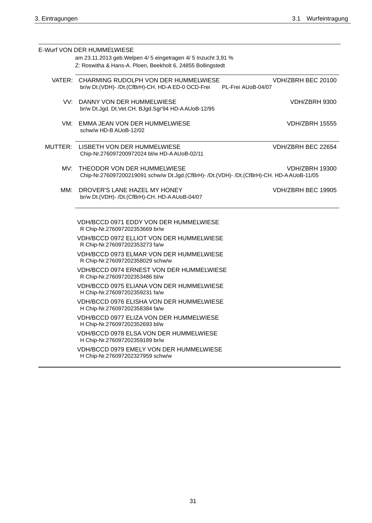|     | E-Wurf VON DER HUMMELWIESE<br>am 23.11.2013 geb. Welpen 4/ 5 eingetragen 4/ 5 Inzucht 3,91 %<br>Z: Roswitha & Hans-A. Ploen, Beekholt 6, 24855 Bollingstedt |                                          |
|-----|-------------------------------------------------------------------------------------------------------------------------------------------------------------|------------------------------------------|
|     | VATER: CHARMING RUDOLPH VON DER HUMMELWIESE<br>br/w Dt.(VDH)- /Dt.(CfBrH)-CH. HD-A ED-0 OCD-Frei                                                            | VDH/ZBRH BEC 20100<br>PL-Frei AUoB-04/07 |
|     | VV: DANNY VON DER HUMMELWIESE<br>br/w Dt.Jgd. Dt.Vet.CH. BJgd.Sgr'94 HD-AAUoB-12/95                                                                         | VDH/ZBRH 9300                            |
|     | VM: EMMA JEAN VON DER HUMMELWIESE<br>schw/w HD-B AUoB-12/02                                                                                                 | <b>VDH/ZBRH 15555</b>                    |
|     | MUTTER: LISBETH VON DER HUMMELWIESE<br>Chip-Nr.276097200972024 bl/w HD-A AUoB-02/11                                                                         | VDH/ZBRH BEC 22654                       |
|     | MV: THEODOR VON DER HUMMELWIESE<br>Chip-Nr.276097200219091 schw/w Dt.Jgd.(CfBrH)- /Dt.(VDH)- /Dt.(CfBrH)-CH. HD-A AUoB-11/05                                | VDH/ZBRH 19300                           |
| MM: | DROVER'S LANE HAZEL MY HONEY<br>br/w Dt.(VDH)- /Dt.(CfBrH)-CH. HD-AAUoB-04/07                                                                               | VDH/ZBRH BEC 19905                       |
|     | VDH/BCCD 0971 EDDY VON DER HUMMELWIESE<br>R Chip-Nr.276097202353669 br/w                                                                                    |                                          |
|     | <b>VDH/BCCD 0972 ELLIOT VON DER HUMMELWIESE</b><br>R Chip-Nr.276097202353273 fa/w                                                                           |                                          |
|     | VDH/BCCD 0973 ELMAR VON DER HUMMELWIESE<br>R Chip-Nr.276097202358029 schw/w                                                                                 |                                          |
|     | VDH/BCCD 0974 ERNEST VON DER HUMMELWIESE<br>R Chip-Nr.276097202353486 bl/w                                                                                  |                                          |
|     | VDH/BCCD 0975 ELIANA VON DER HUMMELWIESE<br>H Chip-Nr.276097202359231 fa/w                                                                                  |                                          |
|     | VDH/BCCD 0976 ELISHA VON DER HUMMELWIESE<br>H Chip-Nr.276097202358384 fa/w                                                                                  |                                          |
|     | VDH/BCCD 0977 ELIZA VON DER HUMMELWIESE<br>H Chip-Nr.276097202352693 bl/w                                                                                   |                                          |
|     | VDH/BCCD 0978 ELSA VON DER HUMMELWIESE<br>H Chip-Nr.276097202359189 br/w                                                                                    |                                          |
|     | VDH/BCCD 0979 EMELY VON DER HUMMELWIESE<br>H Chip-Nr.276097202327959 schw/w                                                                                 |                                          |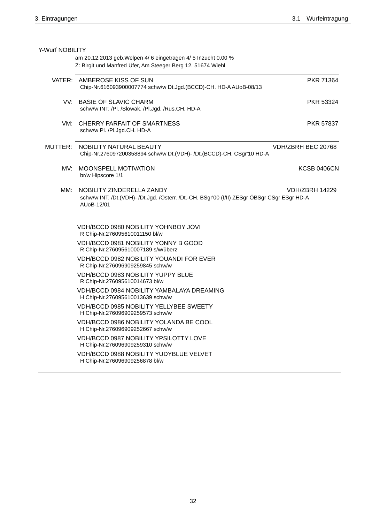| Y-Wurf NOBILITY | am 20.12.2013 geb. Welpen 4/ 6 eingetragen 4/ 5 Inzucht 0,00 %                                                                         |                       |
|-----------------|----------------------------------------------------------------------------------------------------------------------------------------|-----------------------|
|                 | Z: Birgit und Manfred Ufer, Am Steeger Berg 12, 51674 Wiehl                                                                            |                       |
|                 | VATER: AMBEROSE KISS OF SUN<br>Chip-Nr.616093900007774 schw/w Dt.Jgd.(BCCD)-CH. HD-A AUoB-08/13                                        | <b>PKR 71364</b>      |
|                 | VV: BASIE OF SLAVIC CHARM<br>schw/w INT. /Pl. /Slowak. /Pl.Jgd. /Rus.CH. HD-A                                                          | PKR 53324             |
|                 | VM: CHERRY PARFAIT OF SMARTNESS<br>schw/w Pl. /Pl.Jgd.CH. HD-A                                                                         | <b>PKR 57837</b>      |
|                 | MUTTER: NOBILITY NATURAL BEAUTY<br>Chip-Nr.276097200358894 schw/w Dt.(VDH)- /Dt.(BCCD)-CH. CSgr'10 HD-A                                | VDH/ZBRH BEC 20768    |
| MV:             | MOONSPELL MOTIVATION<br>br/w Hipscore 1/1                                                                                              | <b>KCSB 0406CN</b>    |
| MM:             | NOBILITY ZINDERELLA ZANDY<br>schw/w INT. /Dt.(VDH)- /Dt.Jgd. /Österr. /Dt.-CH. BSgr'00 (I/II) ZESgr ÖBSgr CSgr ESgr HD-A<br>AUoB-12/01 | <b>VDH/ZBRH 14229</b> |
|                 | VDH/BCCD 0980 NOBILITY YOHNBOY JOVI<br>R Chip-Nr.276095610011150 bl/w                                                                  |                       |
|                 | VDH/BCCD 0981 NOBILITY YONNY B GOOD<br>R Chip-Nr.276095610007189 s/w/überz                                                             |                       |
|                 | <b>VDH/BCCD 0982 NOBILITY YOUANDI FOR EVER</b><br>R Chip-Nr.276096909259845 schw/w                                                     |                       |
|                 | <b>VDH/BCCD 0983 NOBILITY YUPPY BLUE</b><br>R Chip-Nr.276095610014673 bl/w                                                             |                       |
|                 | VDH/BCCD 0984 NOBILITY YAMBALAYA DREAMING<br>H Chip-Nr.276095610013639 schw/w                                                          |                       |
|                 | VDH/BCCD 0985 NOBILITY YELLYBEE SWEETY<br>H Chip-Nr.276096909259573 schw/w                                                             |                       |
|                 | VDH/BCCD 0986 NOBILITY YOLANDA BE COOL<br>H Chip-Nr.276096909252667 schw/w                                                             |                       |
|                 | <b>VDH/BCCD 0987 NOBILITY YPSILOTTY LOVE</b><br>H Chip-Nr.276096909259310 schw/w                                                       |                       |
|                 | <b>VDH/BCCD 0988 NOBILITY YUDYBLUE VELVET</b><br>H Chip-Nr.276096909256878 bl/w                                                        |                       |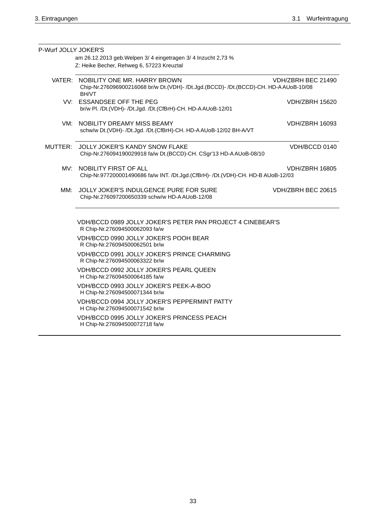| P-Wurf JOLLY JOKER'S |                                                                                                                                             |                       |
|----------------------|---------------------------------------------------------------------------------------------------------------------------------------------|-----------------------|
|                      | am 26.12.2013 geb. Welpen 3/4 eingetragen 3/4 Inzucht 2,73 %                                                                                |                       |
|                      | Z: Heike Becher, Rehweg 6, 57223 Kreuztal                                                                                                   |                       |
|                      | VATER: NOBILITY ONE MR. HARRY BROWN<br>Chip-Nr.276096900216068 br/w Dt.(VDH)- /Dt.Jgd.(BCCD)- /Dt.(BCCD)-CH. HD-AAUoB-10/08<br><b>BH/VT</b> | VDH/ZBRH BEC 21490    |
|                      | VV: ESSANDSEE OFF THE PEG<br>br/w Pl. /Dt.(VDH)- /Dt.Jgd. /Dt.(CfBrH)-CH. HD-AAUoB-12/01                                                    | <b>VDH/ZBRH 15620</b> |
|                      | VM: NOBILITY DREAMY MISS BEAMY<br>schw/w Dt.(VDH)- /Dt.Jgd. /Dt.(CfBrH)-CH. HD-AAUoB-12/02 BH-A/VT                                          | <b>VDH/ZBRH 16093</b> |
|                      | MUTTER: JOLLY JOKER'S KANDY SNOW FLAKE<br>Chip-Nr.276094190029918 fa/w Dt.(BCCD)-CH. CSgr'13 HD-A AUoB-08/10                                | VDH/BCCD 0140         |
|                      | MV: NOBILITY FIRST OF ALL<br>Chip-Nr.977200001490686 fa/w INT. /Dt.Jgd.(CfBrH)- /Dt.(VDH)-CH. HD-B AUoB-12/03                               | <b>VDH/ZBRH 16805</b> |
| MM:                  | JOLLY JOKER'S INDULGENCE PURE FOR SURE<br>Chip-Nr.276097200650339 schw/w HD-AAUoB-12/08                                                     | VDH/ZBRH BEC 20615    |
|                      | VDH/BCCD 0989 JOLLY JOKER'S PETER PAN PROJECT 4 CINEBEAR'S<br>R Chip-Nr.276094500062093 fa/w                                                |                       |
|                      | VDH/BCCD 0990 JOLLY JOKER'S POOH BEAR<br>R Chip-Nr.276094500062501 br/w                                                                     |                       |
|                      | VDH/BCCD 0991 JOLLY JOKER'S PRINCE CHARMING<br>R Chip-Nr.276094500063322 br/w                                                               |                       |
|                      | VDH/BCCD 0992 JOLLY JOKER'S PEARL QUEEN<br>H Chip-Nr.276094500064185 fa/w                                                                   |                       |
|                      | VDH/BCCD 0993 JOLLY JOKER'S PEEK-A-BOO<br>H Chip-Nr.276094500071344 br/w                                                                    |                       |
|                      | VDH/BCCD 0994 JOLLY JOKER'S PEPPERMINT PATTY<br>H Chip-Nr.276094500071542 br/w                                                              |                       |
|                      | VDH/BCCD 0995 JOLLY JOKER'S PRINCESS PEACH<br>H Chip-Nr.276094500072718 fa/w                                                                |                       |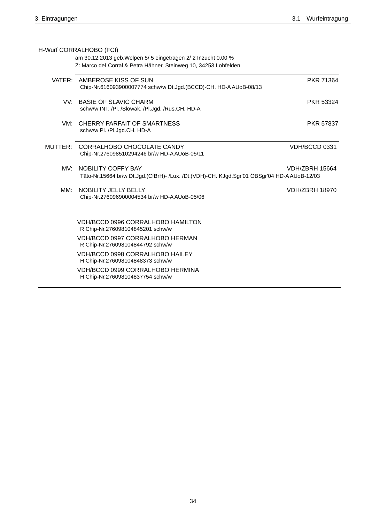|         | H-Wurf CORRALHOBO (FCI)<br>am 30.12.2013 geb. Welpen 5/ 5 eingetragen 2/ 2 Inzucht 0,00 %<br>Z: Marco del Corral & Petra Hähner, Steinweg 10, 34253 Lohfelden |                       |
|---------|---------------------------------------------------------------------------------------------------------------------------------------------------------------|-----------------------|
|         | VATER: AMBEROSE KISS OF SUN<br>Chip-Nr.616093900007774 schw/w Dt.Jgd.(BCCD)-CH. HD-A AUoB-08/13                                                               | PKR 71364             |
|         | VV: BASIE OF SLAVIC CHARM<br>schw/w INT. /Pl. /Slowak. /Pl.Jgd. /Rus.CH. HD-A                                                                                 | <b>PKR 53324</b>      |
|         | VM: CHERRY PARFAIT OF SMARTNESS<br>schw/w Pl. /Pl.Jgd.CH. HD-A                                                                                                | <b>PKR 57837</b>      |
| MUTTER: | CORRALHOBO CHOCOLATE CANDY<br>Chip-Nr.276098510294246 br/w HD-A AUoB-05/11                                                                                    | VDH/BCCD 0331         |
| MV:     | NOBILITY COFFY BAY<br>Täto-Nr.15664 br/w Dt.Jgd.(CfBrH)- /Lux. /Dt.(VDH)-CH. KJgd.Sgr'01 ÖBSgr'04 HD-AAUoB-12/03                                              | <b>VDH/ZBRH 15664</b> |
| MM:     | NOBILITY JELLY BELLY<br>Chip-Nr.276096900004534 br/w HD-A AUoB-05/06                                                                                          | <b>VDH/ZBRH 18970</b> |
|         | VDH/BCCD 0996 CORRALHOBO HAMILTON<br>R Chip-Nr.276098104845201 schw/w                                                                                         |                       |
|         | VDH/BCCD 0997 CORRALHOBO HERMAN<br>R Chip-Nr.276098104844792 schw/w                                                                                           |                       |
|         | VDH/BCCD 0998 CORRALHOBO HAILEY<br>H Chip-Nr.276098104848373 schw/w                                                                                           |                       |
|         | VDH/BCCD 0999 CORRALHOBO HERMINA<br>H Chip-Nr.276098104837754 schw/w                                                                                          |                       |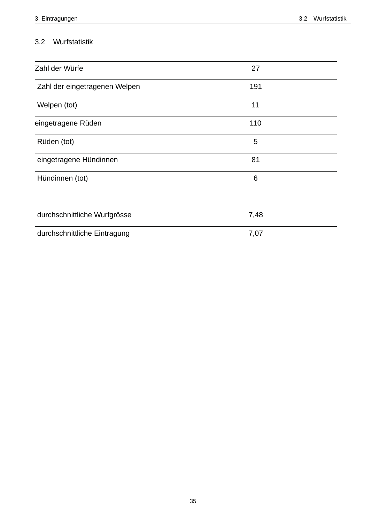# 3.2 Wurfstatistik

| Zahl der Würfe                | 27   |
|-------------------------------|------|
| Zahl der eingetragenen Welpen | 191  |
| Welpen (tot)                  | 11   |
| eingetragene Rüden            | 110  |
| Rüden (tot)                   | 5    |
| eingetragene Hündinnen        | 81   |
| Hündinnen (tot)               | 6    |
|                               |      |
| durchschnittliche Wurfgrösse  | 7,48 |
| durchschnittliche Eintragung  | 7,07 |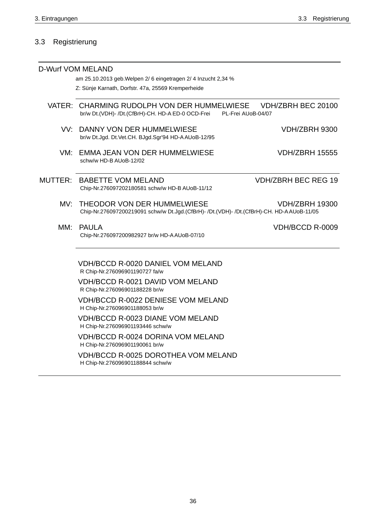### Registrierung  $3.3$

|     | D-Wurf VOM MELAND                                                                                                                                 |
|-----|---------------------------------------------------------------------------------------------------------------------------------------------------|
|     | am 25.10.2013 geb. Welpen 2/6 eingetragen 2/4 Inzucht 2,34 %                                                                                      |
|     | Z: Sünje Karnath, Dorfstr. 47a, 25569 Kremperheide                                                                                                |
|     | VATER: CHARMING RUDOLPH VON DER HUMMELWIESE<br>VDH/ZBRH BEC 20100<br>br/w Dt.(VDH)- /Dt.(CfBrH)-CH. HD-A ED-0 OCD-Frei<br>PL-Frei AUoB-04/07      |
|     | VV: DANNY VON DER HUMMELWIESE<br>VDH/ZBRH 9300<br>br/w Dt.Jgd. Dt.Vet.CH. BJgd.Sgr'94 HD-A AUoB-12/95                                             |
| VM: | EMMA JEAN VON DER HUMMELWIESE<br><b>VDH/ZBRH 15555</b><br>schw/w HD-B AUoB-12/02                                                                  |
|     | <b>VDH/ZBRH BEC REG 19</b><br>MUTTER: BABETTE VOM MELAND<br>Chip-Nr.276097202180581 schw/w HD-B AUoB-11/12                                        |
| MV: | THEODOR VON DER HUMMELWIESE<br><b>VDH/ZBRH 19300</b><br>Chip-Nr.276097200219091 schw/w Dt.Jgd.(CfBrH)- /Dt.(VDH)- /Dt.(CfBrH)-CH. HD-A AUoB-11/05 |
| MM: | <b>PAULA</b><br>VDH/BCCD R-0009<br>Chip-Nr.276097200982927 br/w HD-A AUoB-07/10                                                                   |
|     | <b>VDH/BCCD R-0020 DANIEL VOM MELAND</b><br>R Chip-Nr.276096901190727 fa/w                                                                        |
|     | <b>VDH/BCCD R-0021 DAVID VOM MELAND</b><br>R Chip-Nr.276096901188228 br/w                                                                         |
|     | <b>VDH/BCCD R-0022 DENIESE VOM MELAND</b><br>H Chip-Nr.276096901188053 br/w                                                                       |
|     | <b>VDH/BCCD R-0023 DIANE VOM MELAND</b><br>H Chip-Nr.276096901193446 schw/w                                                                       |
|     | <b>VDH/BCCD R-0024 DORINA VOM MELAND</b><br>H Chip-Nr.276096901190061 br/w                                                                        |
|     | <b>VDH/BCCD R-0025 DOROTHEA VOM MELAND</b><br>H Chip-Nr.276096901188844 schw/w                                                                    |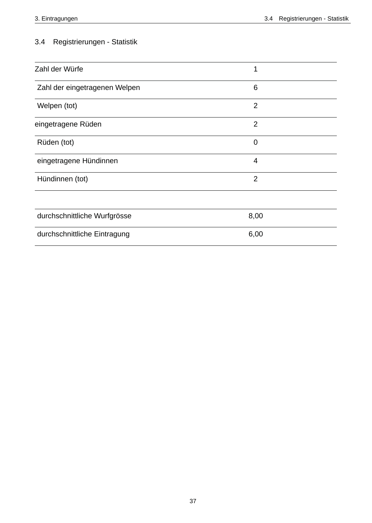# 3.4 Registrierungen - Statistik

| Zahl der Würfe                | 1              |
|-------------------------------|----------------|
| Zahl der eingetragenen Welpen | 6              |
| Welpen (tot)                  | $\overline{2}$ |
| eingetragene Rüden            | $\overline{2}$ |
| Rüden (tot)                   | $\mathbf 0$    |
| eingetragene Hündinnen        | $\overline{4}$ |
| Hündinnen (tot)               | $\overline{2}$ |
|                               |                |
| durchschnittliche Wurfgrösse  | 8,00           |
| durchschnittliche Eintragung  | 6,00           |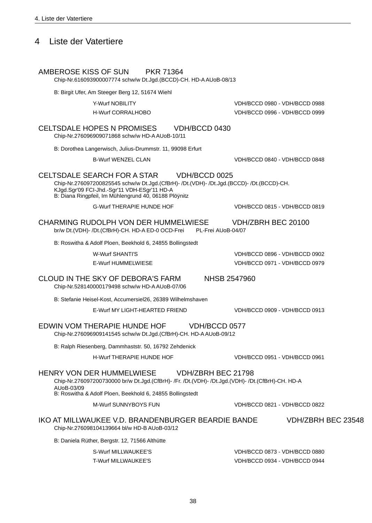# 4 Liste der Vatertiere

AMBEROSE KISS OF SUN **PKR 71364** 

Chip-Nr.616093900007774 schw/w Dt.Jgd.(BCCD)-CH. HD-AAUoB-08/13

B: Birgit Ufer, Am Steeger Berg 12, 51674 Wiehl

Y-Wurf NOBILITY

H-Wurf CORRALHOBO

**CELTSDALE HOPES N PROMISES** VDH/BCCD 0430 Chip-Nr.276096909071868 schw/w HD-AAUoB-10/11

B: Dorothea Langerwisch, Julius-Drummstr. 11, 99098 Erfurt

**B-Wurf WENZEL CLAN** 

CELTSDALE SEARCH FOR A STAR VDH/BCCD 0025

Chip-Nr.276097200825545 schw/w Dt.Jqd.(CfBrH)- /Dt.(VDH)- /Dt.Jqd.(BCCD)- /Dt.(BCCD)-CH. KJgd.Sgr'09 FCI-Jhd.-Sgr'11 VDH-ESgr'11 HD-A<br>B: Diana Ringpfeil, Im Mühlengrund 40, 06188 Plöÿnitz

**G-Wurf THERAPIE HUNDE HOF** 

VDH/BCCD 0815 - VDH/BCCD 0819

VDH/BCCD 0980 - VDH/BCCD 0988

VDH/BCCD 0996 - VDH/BCCD 0999

VDH/BCCD 0840 - VDH/BCCD 0848

#### VDH/ZBRH BEC 20100 CHARMING RUDOLPH VON DER HUMMELWIESE br/w Dt.(VDH)- /Dt.(CfBrH)-CH. HD-A ED-0 OCD-Frei PL-Frei AUoB-04/07

B: Roswitha & Adolf Ploen, Beekhold 6, 24855 Bollingstedt

W-Wurf SHANTI'S

E-Wurf HUMMELWIESE

CLOUD IN THE SKY OF DEBORA'S FARM

Chip-Nr.528140000179498 schw/w HD-A AUoB-07/06

B: Stefanie Heisel-Kost, Accumersiel26, 26389 Wilhelmshaven

E-Wurf MY LIGHT-HEARTED FRIEND

#### EDWIN VOM THERAPIE HUNDE HOF VDH/BCCD 0577

Chip-Nr.276096909141545 schw/w Dt.Jgd.(CfBrH)-CH. HD-AAUoB-09/12

B: Ralph Riesenberg, Dammhaststr. 50, 16792 Zehdenick

### H-Wurf THERAPIE HUNDE HOF

### VDH/ZBRH BEC 21798 **HENRY VON DER HUMMELWIESE**

Chip-Nr.276097200730000 br/w Dt.Jgd.(CfBrH)- /Fr. /Dt.(VDH)- /Dt.Jgd.(VDH)- /Dt.(CfBrH)-CH. HD-A AU0B-03/09

B: Roswitha & Adolf Ploen, Beekhold 6, 24855 Bollingstedt

M-Wurf SUNNYBOYS FUN

VDH/BCCD 0821 - VDH/BCCD 0822

VDH/BCCD 0951 - VDH/BCCD 0961

### IKO AT MILLWAUKEE V.D. BRANDENBURGER BEARDIE BANDE VDH/ZBRH BEC 23548 Chip-Nr.276098104139664 bl/w HD-B AUoB-03/12

B: Daniela Rüther, Bergstr. 12, 71566 Althütte

S-Wurf MILLWAUKEE'S **T-Wurf MILLWAUKEE'S**  VDH/BCCD 0873 - VDH/BCCD 0880 VDH/BCCD 0934 - VDH/BCCD 0944

VDH/BCCD 0896 - VDH/BCCD 0902 VDH/BCCD 0971 - VDH/BCCD 0979

VDH/BCCD 0909 - VDH/BCCD 0913

NHSB 2547960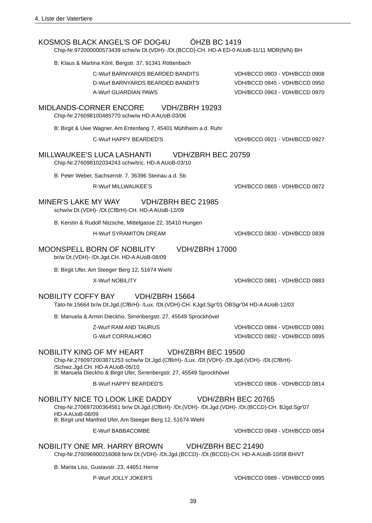| KOSMOS BLACK ANGEL'S OF DOG4U<br>OHZB BC 1419<br>Chip-Nr.972000000573439 schw/w Dt.(VDH)- /Dt.(BCCD)-CH. HD-A ED-0 AUoB-11/11 MDR(N/N) BH                                                                                                                         |                               |
|-------------------------------------------------------------------------------------------------------------------------------------------------------------------------------------------------------------------------------------------------------------------|-------------------------------|
| B: Klaus & Martina Könl, Bergstr. 37, 91341 Röttenbach                                                                                                                                                                                                            |                               |
| C-Wurf BARNYARDS BEARDED BANDITS                                                                                                                                                                                                                                  | VDH/BCCD 0903 - VDH/BCCD 0908 |
| D-Wurf BARNYARDS BEARDED BANDITS                                                                                                                                                                                                                                  | VDH/BCCD 0945 - VDH/BCCD 0950 |
| A-Wurf GUARDIAN PAWS                                                                                                                                                                                                                                              | VDH/BCCD 0963 - VDH/BCCD 0970 |
| <b>MIDLANDS-CORNER ENCORE</b><br><b>VDH/ZBRH 19293</b><br>Chip-Nr.276098100485770 schw/w HD-AAUoB-03/06                                                                                                                                                           |                               |
| B: Birgit & Uwe Wagner, Am Entenfang 7, 45401 Mühlheim a.d. Ruhr                                                                                                                                                                                                  |                               |
| C-Wurf HAPPY BEARDED'S                                                                                                                                                                                                                                            | VDH/BCCD 0921 - VDH/BCCD 0927 |
| MILLWAUKEE'S LUCA LASHANTI VDH/ZBRH BEC 20759<br>Chip-Nr.276098102034243 schw/tric. HD-AAUoB-03/10                                                                                                                                                                |                               |
| B: Peter Weber, Sachsenstr. 7, 36396 Steinau a.d. Str.                                                                                                                                                                                                            |                               |
| <b>R-Wurf MILLWAUKEE'S</b>                                                                                                                                                                                                                                        | VDH/BCCD 0865 - VDH/BCCD 0872 |
| <b>VDH/ZBRH BEC 21985</b><br>MINER'S LAKE MY WAY<br>schw/w Dt.(VDH)- /Dt.(CfBrH)-CH. HD-AAUoB-12/09                                                                                                                                                               |                               |
| B: Kerstin & Rudolf Nitzsche, Mittelgasse 22, 35410 Hungen                                                                                                                                                                                                        |                               |
| <b>H-Wurf SYRAMITON DREAM</b>                                                                                                                                                                                                                                     | VDH/BCCD 0830 - VDH/BCCD 0839 |
| <b>MOONSPELL BORN OF NOBILITY</b><br><b>VDH/ZBRH 17000</b><br>br/w Dt.(VDH)- /Dt.Jgd.CH. HD-A AUoB-08/09                                                                                                                                                          |                               |
| B: Birgit Ufer, Am Steeger Berg 12, 51674 Wiehl                                                                                                                                                                                                                   |                               |
| X-Wurf NOBILITY                                                                                                                                                                                                                                                   | VDH/BCCD 0881 - VDH/BCCD 0883 |
| <b>NOBILITY COFFY BAY</b><br>VDH/ZBRH 15664<br>Täto-Nr.15664 br/w Dt.Jgd.(CfBrH)- /Lux. /Dt.(VDH)-CH. KJgd.Sgr'01 ÖBSgr'04 HD-A AUoB-12/03                                                                                                                        |                               |
| B: Manuela & Armin Dieckho, Sirrenbergstr. 27, 45549 Sprockhövel                                                                                                                                                                                                  |                               |
|                                                                                                                                                                                                                                                                   |                               |
| Z-Wurf RAM AND TAURUS                                                                                                                                                                                                                                             | VDH/BCCD 0884 - VDH/BCCD 0891 |
| <b>G-Wurf CORRALHOBO</b>                                                                                                                                                                                                                                          | VDH/BCCD 0892 - VDH/BCCD 0895 |
| <b>NOBILITY KING OF MY HEART</b><br>VDH/ZBRH BEC 19500<br>Chip-Nr.2760972003871253 schw/w Dt.Jgd.(CfBrH)- /Lux. /Dt.(VDH)- /Dt.Jgd.(VDH)- /Dt.(CfBrH)-<br>/Schwz.Jgd.CH. HD-AAUoB-05/10<br>B: Manuela Dieckho & Birgit Ufer, Sirrenbergstr. 27, 45549 Sprockhövel |                               |
| <b>B-Wurf HAPPY BEARDED'S</b>                                                                                                                                                                                                                                     | VDH/BCCD 0806 - VDH/BCCD 0814 |
| NOBILITY NICE TO LOOK LIKE DADDY VDH/ZBRH BEC 20765<br>Chip-Nr.270697200364561 br/w Dt.Jgd.(CfBrH)- /Dt.(VDH)- /Dt.Jgd.(VDH)- /Dt.(BCCD)-CH. BJgd.Sgr'07<br>HD-AAUoB-08/09                                                                                        |                               |
| B: Birgit und Manfred Ufer, Am Steeger Berg 12, 51674 Wiehl                                                                                                                                                                                                       |                               |
| E-Wurf BABBACOMBE                                                                                                                                                                                                                                                 | VDH/BCCD 0849 - VDH/BCCD 0854 |
| NOBILITY ONE MR. HARRY BROWN<br>VDH/ZBRH BEC 21490<br>Chip-Nr.276096900216068 br/w Dt.(VDH)- /Dt.Jgd.(BCCD)- /Dt.(BCCD)-CH. HD-AAUoB-10/08 BH/VT                                                                                                                  |                               |
| B: Marita Liss, Gustavstr. 23, 44651 Herne                                                                                                                                                                                                                        |                               |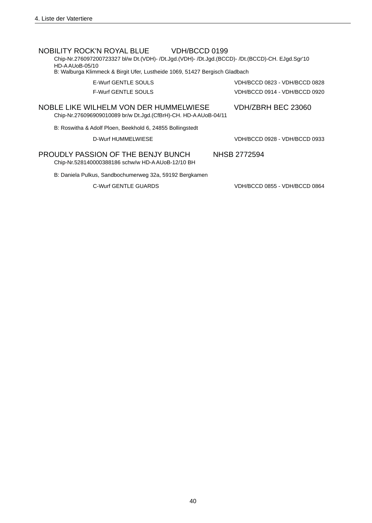| NOBILITY ROCK'N ROYAL BLUE<br>VDH/BCCD 0199                                                      |                               |  |
|--------------------------------------------------------------------------------------------------|-------------------------------|--|
| Chip-Nr.276097200723327 bl/w Dt.(VDH)- /Dt.Jgd.(VDH)- /Dt.Jgd.(BCCD)- /Dt.(BCCD)-CH. EJgd.Sgr'10 |                               |  |
| $HD-AALJ0B-05/10$                                                                                |                               |  |
| B: Walburga Klimmeck & Birgit Ufer, Lustheide 1069, 51427 Bergisch Gladbach                      |                               |  |
| F-Wurf GENTLE SOULS                                                                              | VDH/BCCD 0823 - VDH/BCCD 0828 |  |
| <b>F-Wurf GENTLE SOULS</b>                                                                       | VDH/BCCD 0914 - VDH/BCCD 0920 |  |
|                                                                                                  |                               |  |
| NOBLE LIKE WILHELM VON DER HUMMELWIESE                                                           | VDH/ZBRH BEC 23060            |  |
| Chip-Nr.276096909010089 br/w Dt.Jgd.(CfBrH)-CH. HD-A AUoB-04/11                                  |                               |  |
|                                                                                                  |                               |  |
| B: Roswitha & Adolf Ploen, Beekhold 6, 24855 Bollingstedt                                        |                               |  |
| D-Wurf HUMMELWIESE                                                                               | VDH/BCCD 0928 - VDH/BCCD 0933 |  |
|                                                                                                  |                               |  |
| PROUDLY PASSION OF THE BENJY BUNCH                                                               | NHSB 2772594                  |  |
| Chip-Nr.528140000388186 schw/w HD-A AUoB-12/10 BH                                                |                               |  |
|                                                                                                  |                               |  |
| B: Daniela Pulkus, Sandbochumerweg 32a, 59192 Bergkamen                                          |                               |  |

C-Wurf GENTLE GUARDS

VDH/BCCD 0855 - VDH/BCCD 0864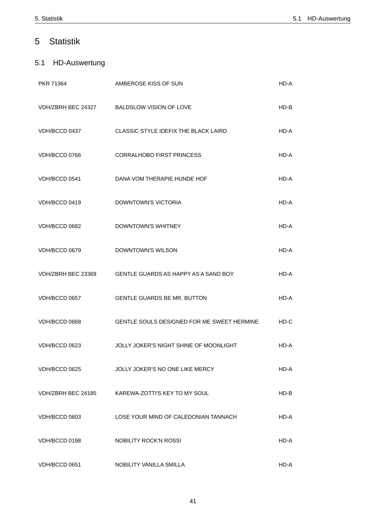### Statistik 5

## 5.1 HD-Auswertung

| PKR 71364          | AMBEROSE KISS OF SUN                       | HD-A   |
|--------------------|--------------------------------------------|--------|
|                    | VDH/ZBRH BEC 24327 BALDSLOW VISION OF LOVE | $HD-B$ |
| VDH/BCCD 0437      | CLASSIC STYLE IDEFIX THE BLACK LAIRD       | HD-A   |
| VDH/BCCD 0766      | <b>CORRALHOBO FIRST PRINCESS</b>           | $HD-A$ |
| VDH/BCCD 0541      | DANA VOM THERAPIE HUNDE HOF                | HD-A   |
| VDH/BCCD 0419      | DOWNTOWN'S VICTORIA                        | HD-A   |
| VDH/BCCD 0682      | DOWNTOWN'S WHITNEY                         | HD-A   |
| VDH/BCCD 0679      | <b>DOWNTOWN'S WILSON</b>                   | HD-A   |
| VDH/ZBRH BEC 23369 | GENTLE GUARDS AS HAPPY AS A SAND BOY       | HD-A   |
| VDH/BCCD 0657      | <b>GENTLE GUARDS BE MR. BUTTON</b>         | HD-A   |
| VDH/BCCD 0668      | GENTLE SOULS DESIGNED FOR ME SWEET HERMINE | $HD-C$ |
| VDH/BCCD 0623      | JOLLY JOKER'S NIGHT SHINE OF MOONLIGHT     | HD-A   |
| VDH/BCCD 0625      | JOLLY JOKER'S NO ONE LIKE MERCY            | HD-A   |
| VDH/ZBRH BEC 24185 | KAREWA-ZOTTI'S KEY TO MY SOUL              | $HD-B$ |
| VDH/BCCD 0603      | LOSE YOUR MIND OF CALEDONIAN TANNACH       | HD-A   |
| VDH/BCCD 0198      | NOBILITY ROCK'N ROSSI                      | HD-A   |
| VDH/BCCD 0651      | NOBILITY VANILLA SMILLA                    | HD-A   |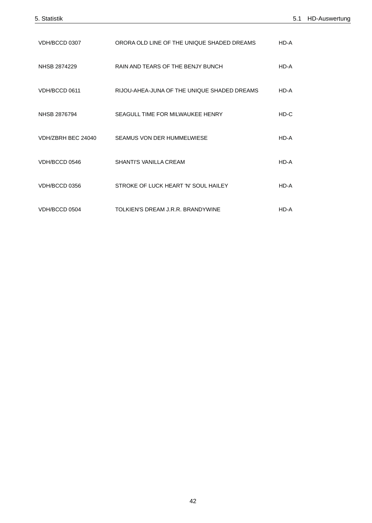| VDH/BCCD 0307      | ORORA OLD LINE OF THE UNIQUE SHADED DREAMS  | HD-A   |
|--------------------|---------------------------------------------|--------|
| NHSB 2874229       | RAIN AND TEARS OF THE BENJY BUNCH           | HD-A   |
| VDH/BCCD 0611      | RIJOU-AHEA-JUNA OF THE UNIQUE SHADED DREAMS | HD-A   |
| NHSB 2876794       | SEAGULL TIME FOR MILWAUKEE HENRY            | $HD-C$ |
| VDH/ZBRH BEC 24040 | SEAMUS VON DER HUMMELWIESE                  | HD-A   |
| VDH/BCCD 0546      | SHANTI'S VANILLA CREAM                      | HD-A   |
| VDH/BCCD 0356      | STROKE OF LUCK HEART 'N' SOUL HAILEY        | HD-A   |
| VDH/BCCD 0504      | TOLKIEN'S DREAM J.R.R. BRANDYWINE           | HD-A   |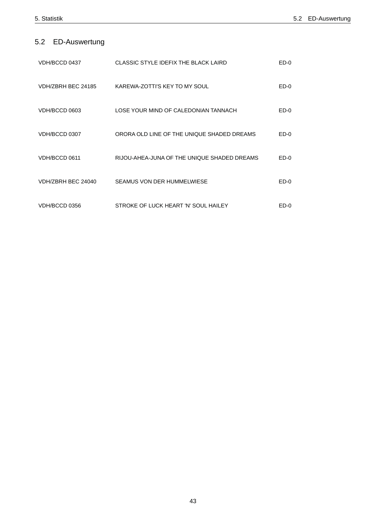# 5.2 ED-Auswertung

| VDH/BCCD 0437      | <b>CLASSIC STYLE IDEFIX THE BLACK LAIRD</b> | $ED-0$ |
|--------------------|---------------------------------------------|--------|
| VDH/ZBRH BEC 24185 | KAREWA-ZOTTI'S KEY TO MY SOUL               | $ED-0$ |
| VDH/BCCD 0603      | LOSE YOUR MIND OF CALEDONIAN TANNACH        | $ED-0$ |
| VDH/BCCD 0307      | ORORA OLD LINE OF THE UNIQUE SHADED DREAMS  | $ED-0$ |
| VDH/BCCD 0611      | RIJOU-AHEA-JUNA OF THE UNIQUE SHADED DREAMS | $ED-0$ |
| VDH/ZBRH BEC 24040 | SEAMUS VON DER HUMMELWIESE                  | $ED-0$ |
| VDH/BCCD 0356      | STROKE OF LUCK HEART 'N' SOUL HAILEY        | ED-0   |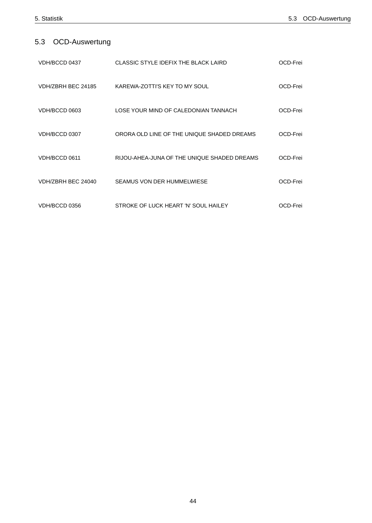# 5.3 OCD-Auswertung

| VDH/BCCD 0437      | CLASSIC STYLE IDEFIX THE BLACK LAIRD        | OCD-Frei |
|--------------------|---------------------------------------------|----------|
| VDH/ZBRH BEC 24185 | KAREWA-ZOTTI'S KEY TO MY SOUL               | OCD-Frei |
| VDH/BCCD 0603      | LOSE YOUR MIND OF CALEDONIAN TANNACH        | OCD-Frei |
| VDH/BCCD 0307      | ORORA OLD LINE OF THE UNIQUE SHADED DREAMS  | OCD-Frei |
| VDH/BCCD 0611      | RIJOU-AHEA-JUNA OF THE UNIQUE SHADED DREAMS | OCD-Frei |
| VDH/ZBRH BEC 24040 | SEAMUS VON DER HUMMELWIESE                  | OCD-Frei |
| VDH/BCCD 0356      | STROKE OF LUCK HEART 'N' SOUL HAILEY        | OCD-Frei |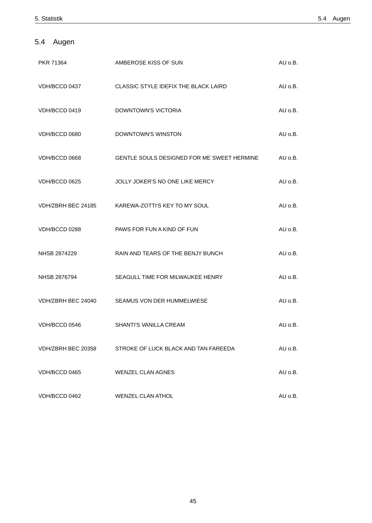# 5.4 Augen

| PKR 71364          | AMBEROSE KISS OF SUN                             | AU o.B.     |
|--------------------|--------------------------------------------------|-------------|
| VDH/BCCD 0437      | CLASSIC STYLE IDEFIX THE BLACK LAIRD             | AU o.B.     |
| VDH/BCCD 0419      | <b>DOWNTOWN'S VICTORIA</b>                       | $AU$ $o.B.$ |
| VDH/BCCD 0680      | DOWNTOWN'S WINSTON                               | $AU$ $o.B.$ |
| VDH/BCCD 0668      | GENTLE SOULS DESIGNED FOR ME SWEET HERMINE       | AU o.B.     |
| VDH/BCCD 0625      | JOLLY JOKER'S NO ONE LIKE MERCY                  | AU o.B.     |
|                    | VDH/ZBRH BEC 24185 KAREWA-ZOTTI'S KEY TO MY SOUL | $AU$ $0.B.$ |
| VDH/BCCD 0288      | PAWS FOR FUN A KIND OF FUN                       | AU o.B.     |
| NHSB 2874229       | RAIN AND TEARS OF THE BENJY BUNCH                | AU o.B.     |
| NHSB 2876794       | SEAGULL TIME FOR MILWAUKEE HENRY                 | AU o.B.     |
| VDH/ZBRH BEC 24040 | SEAMUS VON DER HUMMELWIESE                       | AU o.B.     |
| VDH/BCCD 0546      | SHANTI'S VANILLA CREAM                           | AU o.B.     |
| VDH/ZBRH BEC 20358 | STROKE OF LUCK BLACK AND TAN FAREEDA             | AU 0.B.     |
| VDH/BCCD 0465      | <b>WENZEL CLAN AGNES</b>                         | AU o.B.     |
| VDH/BCCD 0462      | WENZEL CLAN ATHOL                                | AU o.B.     |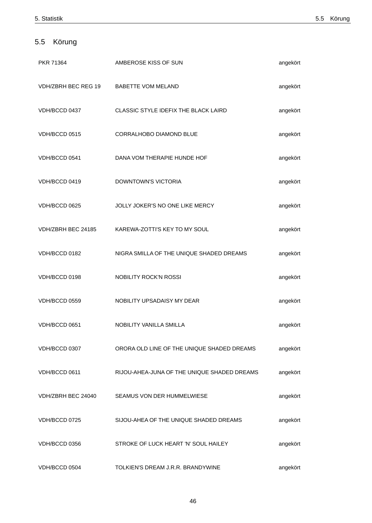# 5.5 Körung

| PKR 71364                              | AMBEROSE KISS OF SUN                             | angekört |
|----------------------------------------|--------------------------------------------------|----------|
| VDH/ZBRH BEC REG 19 BABETTE VOM MELAND |                                                  | angekört |
| VDH/BCCD 0437                          | CLASSIC STYLE IDEFIX THE BLACK LAIRD             | angekört |
| VDH/BCCD 0515                          | CORRALHOBO DIAMOND BLUE                          | angekört |
| VDH/BCCD 0541                          | DANA VOM THERAPIE HUNDE HOF                      | angekört |
| VDH/BCCD 0419                          | DOWNTOWN'S VICTORIA                              | angekört |
| VDH/BCCD 0625                          | JOLLY JOKER'S NO ONE LIKE MERCY                  | angekört |
|                                        | VDH/ZBRH BEC 24185 KAREWA-ZOTTI'S KEY TO MY SOUL | angekört |
| VDH/BCCD 0182                          | NIGRA SMILLA OF THE UNIQUE SHADED DREAMS         | angekört |
| VDH/BCCD 0198                          | NOBILITY ROCK'N ROSSI                            | angekört |
| VDH/BCCD 0559                          | NOBILITY UPSADAISY MY DEAR                       | angekört |
| VDH/BCCD 0651                          | NOBILITY VANILLA SMILLA                          | angekört |
| VDH/BCCD 0307                          | ORORA OLD LINE OF THE UNIQUE SHADED DREAMS       | angekört |
| VDH/BCCD 0611                          | RIJOU-AHEA-JUNA OF THE UNIQUE SHADED DREAMS      | angekört |
| VDH/ZBRH BEC 24040                     | SEAMUS VON DER HUMMELWIESE                       | angekört |
| VDH/BCCD 0725                          | SIJOU-AHEA OF THE UNIQUE SHADED DREAMS           | angekört |
| VDH/BCCD 0356                          | STROKE OF LUCK HEART 'N' SOUL HAILEY             | angekört |
| VDH/BCCD 0504                          | TOLKIEN'S DREAM J.R.R. BRANDYWINE                | angekört |